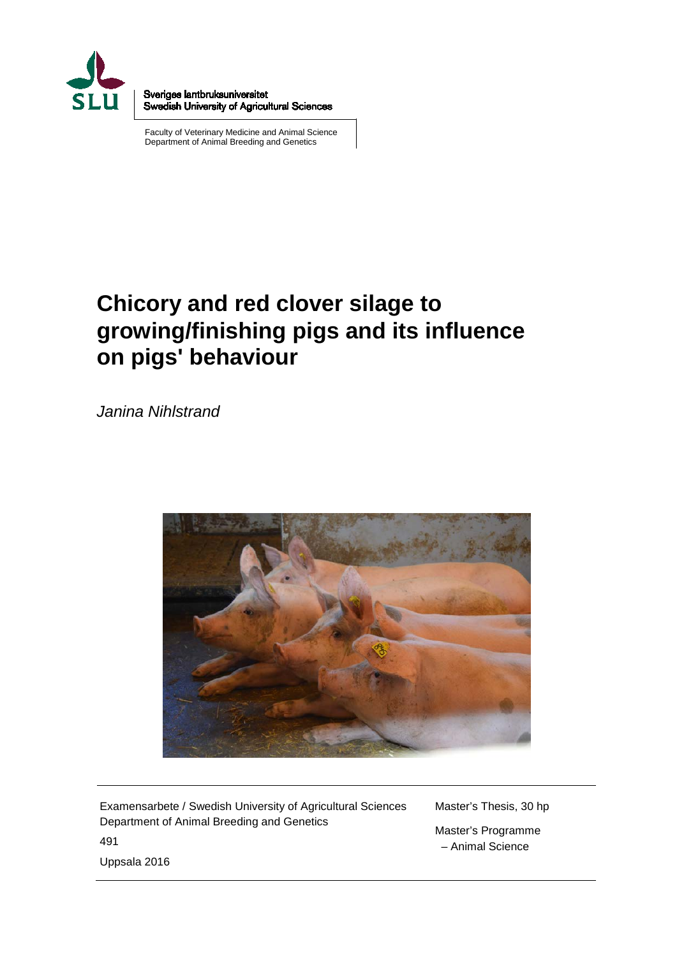

Sveriges lantbruksuniversitet Swedish University of Agricultural Sciences

Faculty of Veterinary Medicine and Animal Science Department of Animal Breeding and Genetics

# **Chicory and red clover silage to growing/finishing pigs and its influence on pigs' behaviour**

*Janina Nihlstrand*



Examensarbete / Swedish University of Agricultural Sciences Department of Animal Breeding and Genetics 491 Uppsala 2016

Master's Thesis, 30 hp Master's Programme

– Animal Science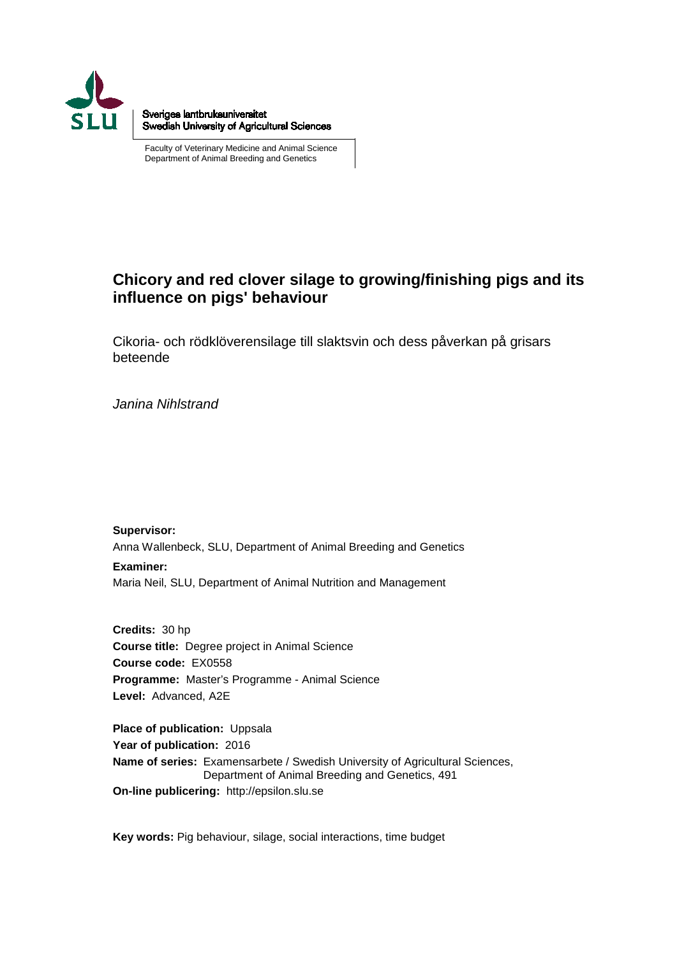

Sveriges lantbruksuniversitet Swedish University of Agricultural Sciences

Faculty of Veterinary Medicine and Animal Science Department of Animal Breeding and Genetics

#### **Chicory and red clover silage to growing/finishing pigs and its influence on pigs' behaviour**

Cikoria- och rödklöverensilage till slaktsvin och dess påverkan på grisars beteende

*Janina Nihlstrand*

**Supervisor:** Anna Wallenbeck, SLU, Department of Animal Breeding and Genetics **Examiner:** Maria Neil, SLU, Department of Animal Nutrition and Management

**Credits:** 30 hp **Course title:** Degree project in Animal Science **Course code:** EX0558 **Programme:** Master's Programme - Animal Science **Level:** Advanced, A2E

**Place of publication:** Uppsala **Year of publication:** 2016 **Name of series:** Examensarbete / Swedish University of Agricultural Sciences, Department of Animal Breeding and Genetics, 491 **On-line publicering:** http://epsilon.slu.se

**Key words:** Pig behaviour, silage, social interactions, time budget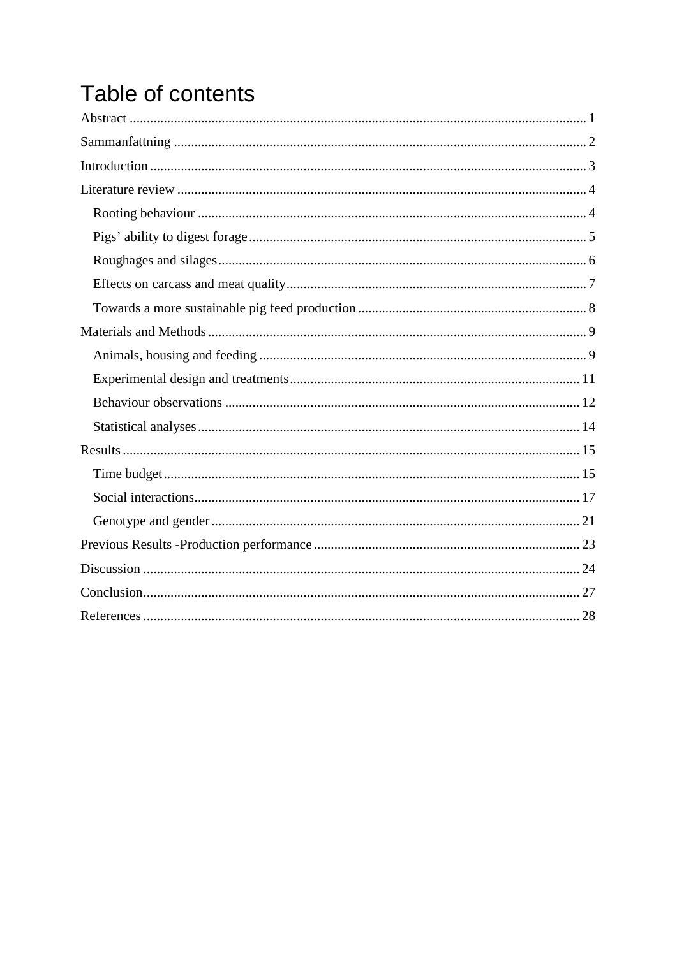# Table of contents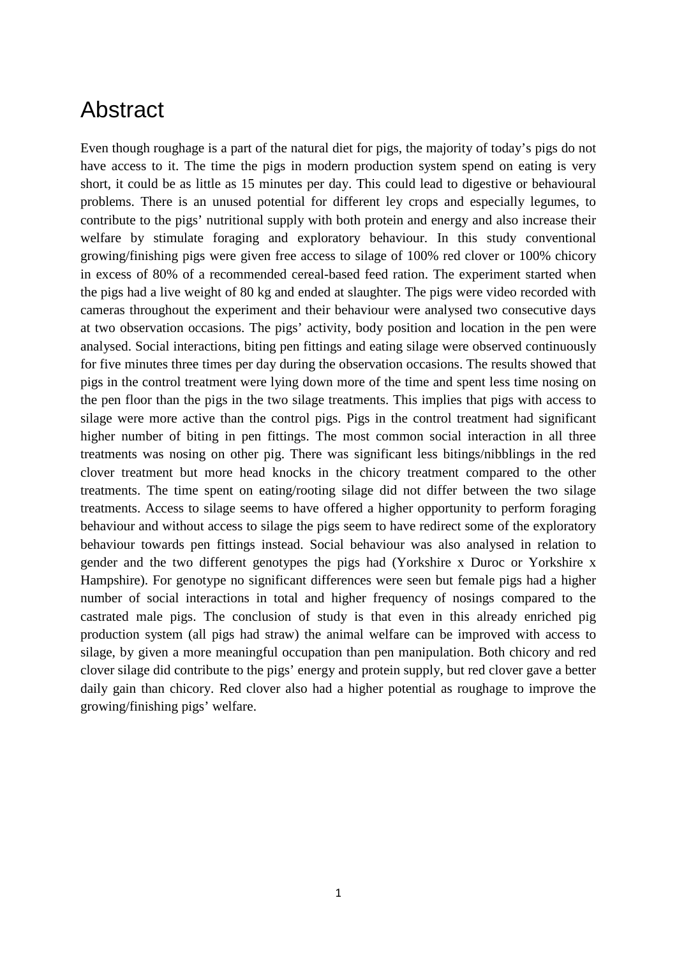### <span id="page-6-0"></span>Abstract

Even though roughage is a part of the natural diet for pigs, the majority of today's pigs do not have access to it. The time the pigs in modern production system spend on eating is very short, it could be as little as 15 minutes per day. This could lead to digestive or behavioural problems. There is an unused potential for different ley crops and especially legumes, to contribute to the pigs' nutritional supply with both protein and energy and also increase their welfare by stimulate foraging and exploratory behaviour. In this study conventional growing/finishing pigs were given free access to silage of 100% red clover or 100% chicory in excess of 80% of a recommended cereal-based feed ration. The experiment started when the pigs had a live weight of 80 kg and ended at slaughter. The pigs were video recorded with cameras throughout the experiment and their behaviour were analysed two consecutive days at two observation occasions. The pigs' activity, body position and location in the pen were analysed. Social interactions, biting pen fittings and eating silage were observed continuously for five minutes three times per day during the observation occasions. The results showed that pigs in the control treatment were lying down more of the time and spent less time nosing on the pen floor than the pigs in the two silage treatments. This implies that pigs with access to silage were more active than the control pigs. Pigs in the control treatment had significant higher number of biting in pen fittings. The most common social interaction in all three treatments was nosing on other pig. There was significant less bitings/nibblings in the red clover treatment but more head knocks in the chicory treatment compared to the other treatments. The time spent on eating/rooting silage did not differ between the two silage treatments. Access to silage seems to have offered a higher opportunity to perform foraging behaviour and without access to silage the pigs seem to have redirect some of the exploratory behaviour towards pen fittings instead. Social behaviour was also analysed in relation to gender and the two different genotypes the pigs had (Yorkshire x Duroc or Yorkshire x Hampshire). For genotype no significant differences were seen but female pigs had a higher number of social interactions in total and higher frequency of nosings compared to the castrated male pigs. The conclusion of study is that even in this already enriched pig production system (all pigs had straw) the animal welfare can be improved with access to silage, by given a more meaningful occupation than pen manipulation. Both chicory and red clover silage did contribute to the pigs' energy and protein supply, but red clover gave a better daily gain than chicory. Red clover also had a higher potential as roughage to improve the growing/finishing pigs' welfare.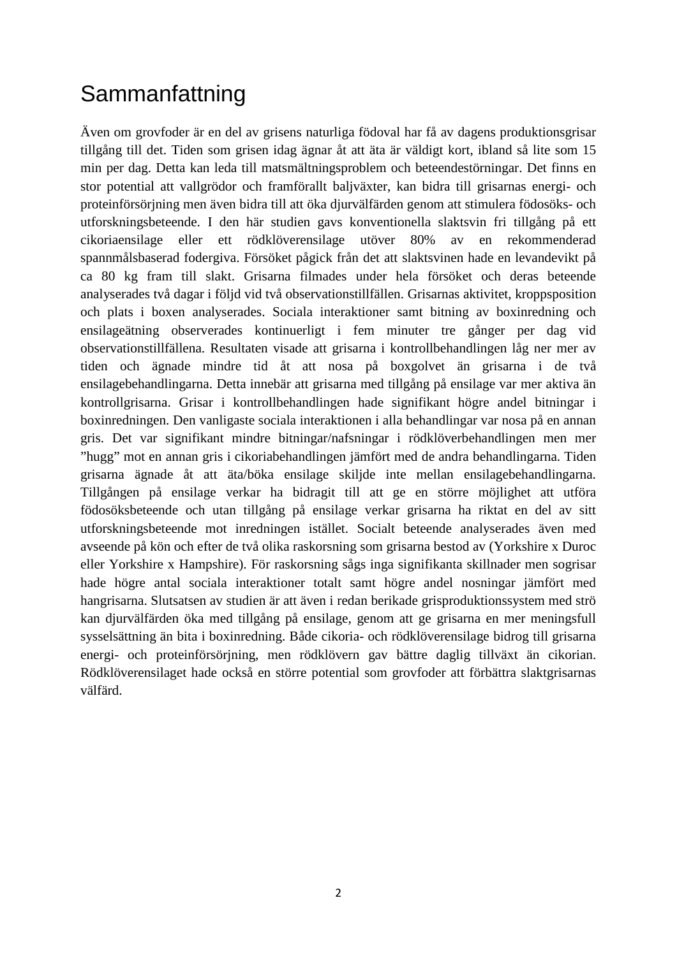# <span id="page-7-0"></span>**Sammanfattning**

Även om grovfoder är en del av grisens naturliga födoval har få av dagens produktionsgrisar tillgång till det. Tiden som grisen idag ägnar åt att äta är väldigt kort, ibland så lite som 15 min per dag. Detta kan leda till matsmältningsproblem och beteendestörningar. Det finns en stor potential att vallgrödor och framförallt baljväxter, kan bidra till grisarnas energi- och proteinförsörjning men även bidra till att öka djurvälfärden genom att stimulera födosöks- och utforskningsbeteende. I den här studien gavs konventionella slaktsvin fri tillgång på ett cikoriaensilage eller ett rödklöverensilage utöver 80% av en rekommenderad spannmålsbaserad fodergiva. Försöket pågick från det att slaktsvinen hade en levandevikt på ca 80 kg fram till slakt. Grisarna filmades under hela försöket och deras beteende analyserades två dagar i följd vid två observationstillfällen. Grisarnas aktivitet, kroppsposition och plats i boxen analyserades. Sociala interaktioner samt bitning av boxinredning och ensilageätning observerades kontinuerligt i fem minuter tre gånger per dag vid observationstillfällena. Resultaten visade att grisarna i kontrollbehandlingen låg ner mer av tiden och ägnade mindre tid åt att nosa på boxgolvet än grisarna i de två ensilagebehandlingarna. Detta innebär att grisarna med tillgång på ensilage var mer aktiva än kontrollgrisarna. Grisar i kontrollbehandlingen hade signifikant högre andel bitningar i boxinredningen. Den vanligaste sociala interaktionen i alla behandlingar var nosa på en annan gris. Det var signifikant mindre bitningar/nafsningar i rödklöverbehandlingen men mer "hugg" mot en annan gris i cikoriabehandlingen jämfört med de andra behandlingarna. Tiden grisarna ägnade åt att äta/böka ensilage skiljde inte mellan ensilagebehandlingarna. Tillgången på ensilage verkar ha bidragit till att ge en större möjlighet att utföra födosöksbeteende och utan tillgång på ensilage verkar grisarna ha riktat en del av sitt utforskningsbeteende mot inredningen istället. Socialt beteende analyserades även med avseende på kön och efter de två olika raskorsning som grisarna bestod av (Yorkshire x Duroc eller Yorkshire x Hampshire). För raskorsning sågs inga signifikanta skillnader men sogrisar hade högre antal sociala interaktioner totalt samt högre andel nosningar jämfört med hangrisarna. Slutsatsen av studien är att även i redan berikade grisproduktionssystem med strö kan djurvälfärden öka med tillgång på ensilage, genom att ge grisarna en mer meningsfull sysselsättning än bita i boxinredning. Både cikoria- och rödklöverensilage bidrog till grisarna energi- och proteinförsörjning, men rödklövern gav bättre daglig tillväxt än cikorian. Rödklöverensilaget hade också en större potential som grovfoder att förbättra slaktgrisarnas välfärd.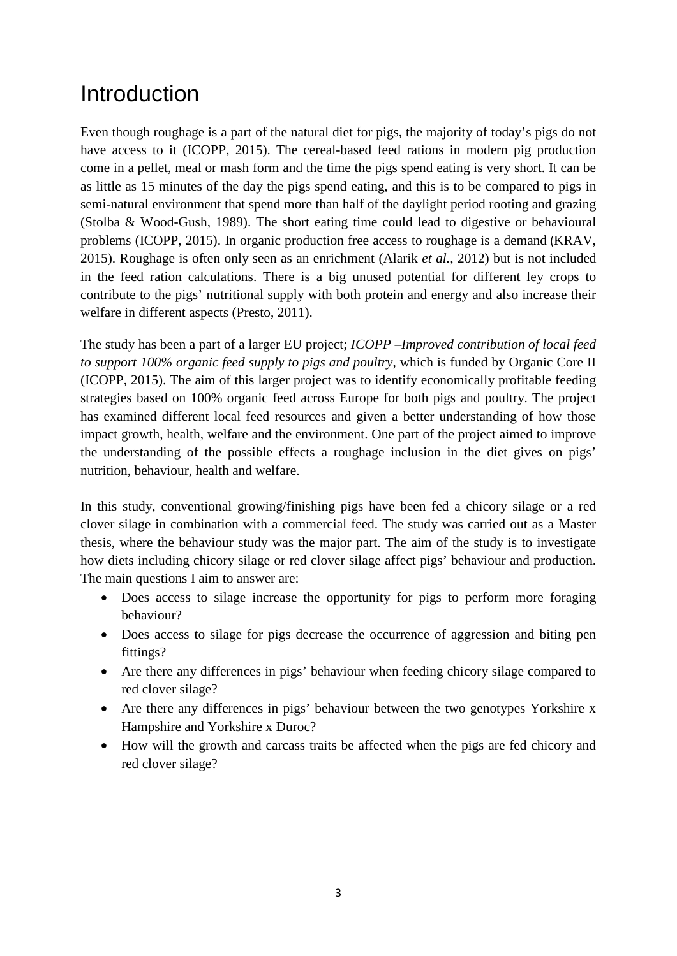# <span id="page-8-0"></span>**Introduction**

Even though roughage is a part of the natural diet for pigs, the majority of today's pigs do not have access to it (ICOPP, 2015). The cereal-based feed rations in modern pig production come in a pellet, meal or mash form and the time the pigs spend eating is very short. It can be as little as 15 minutes of the day the pigs spend eating, and this is to be compared to pigs in semi-natural environment that spend more than half of the daylight period rooting and grazing (Stolba & Wood-Gush, 1989). The short eating time could lead to digestive or behavioural problems (ICOPP, 2015). In organic production free access to roughage is a demand (KRAV, 2015). Roughage is often only seen as an enrichment (Alarik *et al.,* 2012) but is not included in the feed ration calculations. There is a big unused potential for different ley crops to contribute to the pigs' nutritional supply with both protein and energy and also increase their welfare in different aspects (Presto, 2011).

The study has been a part of a larger EU project; *ICOPP –Improved contribution of local feed to support 100% organic feed supply to pigs and poultry*, which is funded by Organic Core II (ICOPP, 2015). The aim of this larger project was to identify economically profitable feeding strategies based on 100% organic feed across Europe for both pigs and poultry. The project has examined different local feed resources and given a better understanding of how those impact growth, health, welfare and the environment. One part of the project aimed to improve the understanding of the possible effects a roughage inclusion in the diet gives on pigs' nutrition, behaviour, health and welfare.

In this study, conventional growing/finishing pigs have been fed a chicory silage or a red clover silage in combination with a commercial feed. The study was carried out as a Master thesis, where the behaviour study was the major part. The aim of the study is to investigate how diets including chicory silage or red clover silage affect pigs' behaviour and production. The main questions I aim to answer are:

- Does access to silage increase the opportunity for pigs to perform more foraging behaviour?
- Does access to silage for pigs decrease the occurrence of aggression and biting pen fittings?
- Are there any differences in pigs' behaviour when feeding chicory silage compared to red clover silage?
- Are there any differences in pigs' behaviour between the two genotypes Yorkshire x Hampshire and Yorkshire x Duroc?
- How will the growth and carcass traits be affected when the pigs are fed chicory and red clover silage?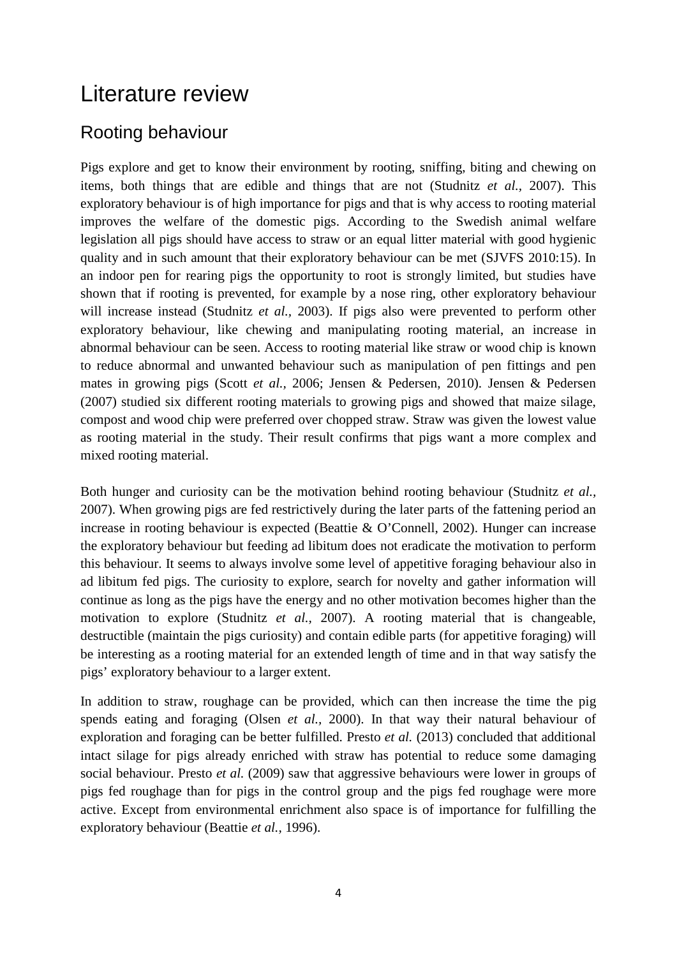### <span id="page-9-0"></span>Literature review

#### <span id="page-9-1"></span>Rooting behaviour

Pigs explore and get to know their environment by rooting, sniffing, biting and chewing on items, both things that are edible and things that are not (Studnitz *et al.,* 2007). This exploratory behaviour is of high importance for pigs and that is why access to rooting material improves the welfare of the domestic pigs. According to the Swedish animal welfare legislation all pigs should have access to straw or an equal litter material with good hygienic quality and in such amount that their exploratory behaviour can be met (SJVFS 2010:15). In an indoor pen for rearing pigs the opportunity to root is strongly limited, but studies have shown that if rooting is prevented, for example by a nose ring, other exploratory behaviour will increase instead (Studnitz *et al.,* 2003). If pigs also were prevented to perform other exploratory behaviour, like chewing and manipulating rooting material, an increase in abnormal behaviour can be seen. Access to rooting material like straw or wood chip is known to reduce abnormal and unwanted behaviour such as manipulation of pen fittings and pen mates in growing pigs (Scott *et al.,* 2006; Jensen & Pedersen, 2010). Jensen & Pedersen (2007) studied six different rooting materials to growing pigs and showed that maize silage, compost and wood chip were preferred over chopped straw. Straw was given the lowest value as rooting material in the study. Their result confirms that pigs want a more complex and mixed rooting material.

Both hunger and curiosity can be the motivation behind rooting behaviour (Studnitz *et al.,* 2007). When growing pigs are fed restrictively during the later parts of the fattening period an increase in rooting behaviour is expected (Beattie & O'Connell, 2002). Hunger can increase the exploratory behaviour but feeding ad libitum does not eradicate the motivation to perform this behaviour. It seems to always involve some level of appetitive foraging behaviour also in ad libitum fed pigs. The curiosity to explore, search for novelty and gather information will continue as long as the pigs have the energy and no other motivation becomes higher than the motivation to explore (Studnitz *et al.,* 2007). A rooting material that is changeable, destructible (maintain the pigs curiosity) and contain edible parts (for appetitive foraging) will be interesting as a rooting material for an extended length of time and in that way satisfy the pigs' exploratory behaviour to a larger extent.

In addition to straw, roughage can be provided, which can then increase the time the pig spends eating and foraging (Olsen *et al.,* 2000). In that way their natural behaviour of exploration and foraging can be better fulfilled. Presto *et al.* (2013) concluded that additional intact silage for pigs already enriched with straw has potential to reduce some damaging social behaviour. Presto *et al.* (2009) saw that aggressive behaviours were lower in groups of pigs fed roughage than for pigs in the control group and the pigs fed roughage were more active. Except from environmental enrichment also space is of importance for fulfilling the exploratory behaviour (Beattie *et al.,* 1996).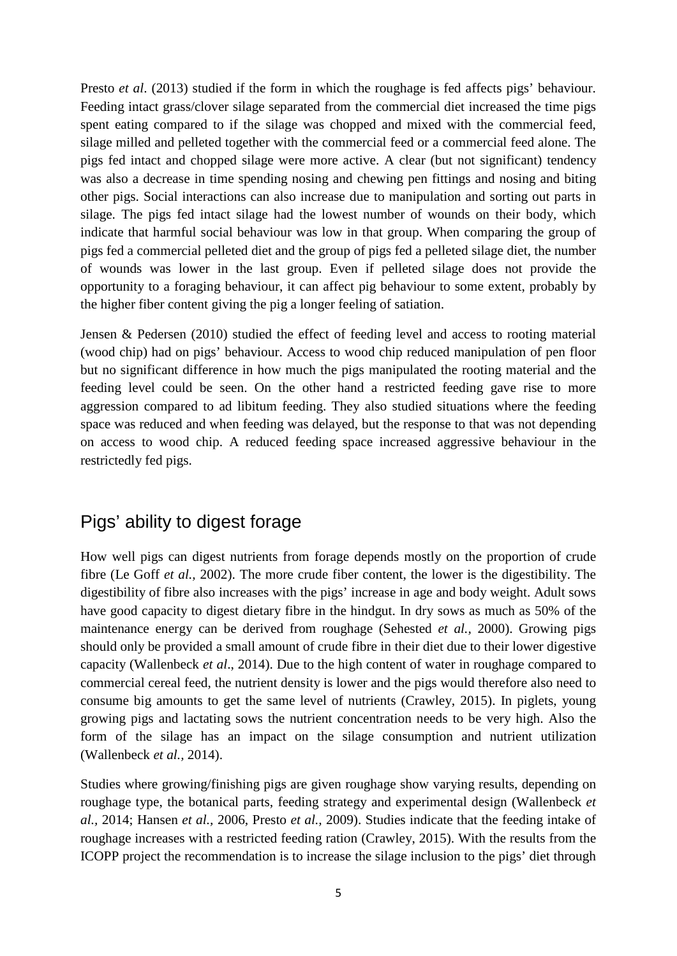Presto *et al*. (2013) studied if the form in which the roughage is fed affects pigs' behaviour. Feeding intact grass/clover silage separated from the commercial diet increased the time pigs spent eating compared to if the silage was chopped and mixed with the commercial feed, silage milled and pelleted together with the commercial feed or a commercial feed alone. The pigs fed intact and chopped silage were more active. A clear (but not significant) tendency was also a decrease in time spending nosing and chewing pen fittings and nosing and biting other pigs. Social interactions can also increase due to manipulation and sorting out parts in silage. The pigs fed intact silage had the lowest number of wounds on their body, which indicate that harmful social behaviour was low in that group. When comparing the group of pigs fed a commercial pelleted diet and the group of pigs fed a pelleted silage diet, the number of wounds was lower in the last group. Even if pelleted silage does not provide the opportunity to a foraging behaviour, it can affect pig behaviour to some extent, probably by the higher fiber content giving the pig a longer feeling of satiation.

Jensen & Pedersen (2010) studied the effect of feeding level and access to rooting material (wood chip) had on pigs' behaviour. Access to wood chip reduced manipulation of pen floor but no significant difference in how much the pigs manipulated the rooting material and the feeding level could be seen. On the other hand a restricted feeding gave rise to more aggression compared to ad libitum feeding. They also studied situations where the feeding space was reduced and when feeding was delayed, but the response to that was not depending on access to wood chip. A reduced feeding space increased aggressive behaviour in the restrictedly fed pigs.

#### <span id="page-10-0"></span>Pigs' ability to digest forage

How well pigs can digest nutrients from forage depends mostly on the proportion of crude fibre (Le Goff *et al.,* 2002). The more crude fiber content, the lower is the digestibility. The digestibility of fibre also increases with the pigs' increase in age and body weight. Adult sows have good capacity to digest dietary fibre in the hindgut. In dry sows as much as 50% of the maintenance energy can be derived from roughage (Sehested *et al.,* 2000). Growing pigs should only be provided a small amount of crude fibre in their diet due to their lower digestive capacity (Wallenbeck *et al*., 2014). Due to the high content of water in roughage compared to commercial cereal feed, the nutrient density is lower and the pigs would therefore also need to consume big amounts to get the same level of nutrients (Crawley, 2015). In piglets, young growing pigs and lactating sows the nutrient concentration needs to be very high. Also the form of the silage has an impact on the silage consumption and nutrient utilization (Wallenbeck *et al.,* 2014).

Studies where growing/finishing pigs are given roughage show varying results, depending on roughage type, the botanical parts, feeding strategy and experimental design (Wallenbeck *et al.,* 2014; Hansen *et al.,* 2006, Presto *et al.,* 2009). Studies indicate that the feeding intake of roughage increases with a restricted feeding ration (Crawley, 2015). With the results from the ICOPP project the recommendation is to increase the silage inclusion to the pigs' diet through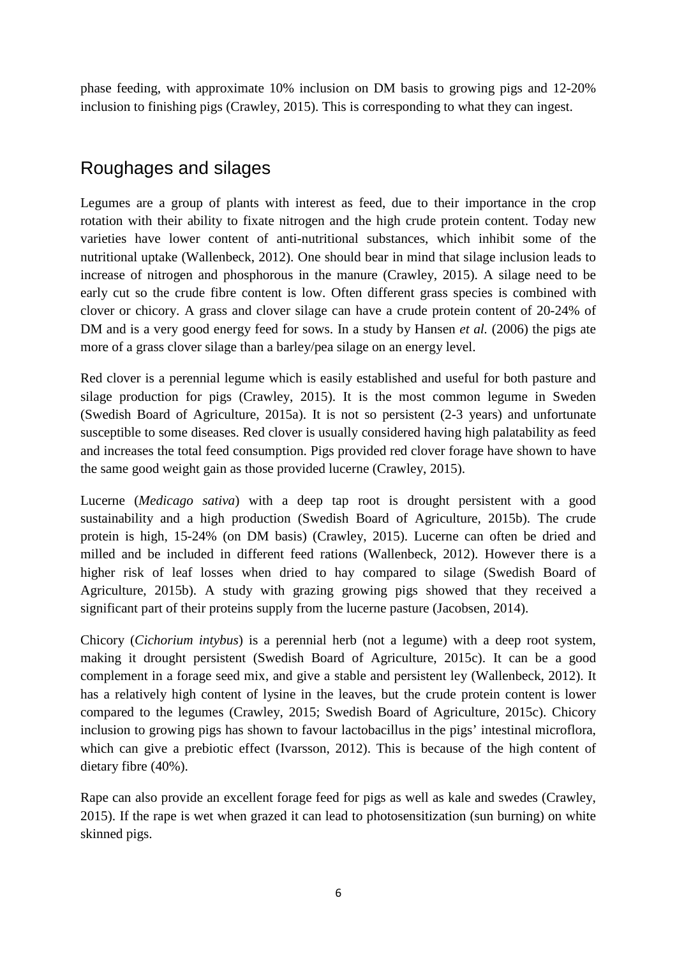phase feeding, with approximate 10% inclusion on DM basis to growing pigs and 12-20% inclusion to finishing pigs (Crawley, 2015). This is corresponding to what they can ingest.

#### <span id="page-11-0"></span>Roughages and silages

Legumes are a group of plants with interest as feed, due to their importance in the crop rotation with their ability to fixate nitrogen and the high crude protein content. Today new varieties have lower content of anti-nutritional substances, which inhibit some of the nutritional uptake (Wallenbeck, 2012). One should bear in mind that silage inclusion leads to increase of nitrogen and phosphorous in the manure (Crawley, 2015). A silage need to be early cut so the crude fibre content is low. Often different grass species is combined with clover or chicory. A grass and clover silage can have a crude protein content of 20-24% of DM and is a very good energy feed for sows. In a study by Hansen *et al.* (2006) the pigs ate more of a grass clover silage than a barley/pea silage on an energy level.

Red clover is a perennial legume which is easily established and useful for both pasture and silage production for pigs (Crawley, 2015). It is the most common legume in Sweden (Swedish Board of Agriculture, 2015a). It is not so persistent (2-3 years) and unfortunate susceptible to some diseases. Red clover is usually considered having high palatability as feed and increases the total feed consumption. Pigs provided red clover forage have shown to have the same good weight gain as those provided lucerne (Crawley, 2015).

Lucerne (*Medicago sativa*) with a deep tap root is drought persistent with a good sustainability and a high production (Swedish Board of Agriculture, 2015b). The crude protein is high, 15-24% (on DM basis) (Crawley, 2015). Lucerne can often be dried and milled and be included in different feed rations (Wallenbeck, 2012). However there is a higher risk of leaf losses when dried to hay compared to silage (Swedish Board of Agriculture, 2015b). A study with grazing growing pigs showed that they received a significant part of their proteins supply from the lucerne pasture (Jacobsen, 2014).

Chicory (*Cichorium intybus*) is a perennial herb (not a legume) with a deep root system, making it drought persistent (Swedish Board of Agriculture, 2015c). It can be a good complement in a forage seed mix, and give a stable and persistent ley (Wallenbeck, 2012). It has a relatively high content of lysine in the leaves, but the crude protein content is lower compared to the legumes (Crawley, 2015; Swedish Board of Agriculture, 2015c). Chicory inclusion to growing pigs has shown to favour lactobacillus in the pigs' intestinal microflora, which can give a prebiotic effect (Ivarsson, 2012). This is because of the high content of dietary fibre (40%).

Rape can also provide an excellent forage feed for pigs as well as kale and swedes (Crawley, 2015). If the rape is wet when grazed it can lead to photosensitization (sun burning) on white skinned pigs.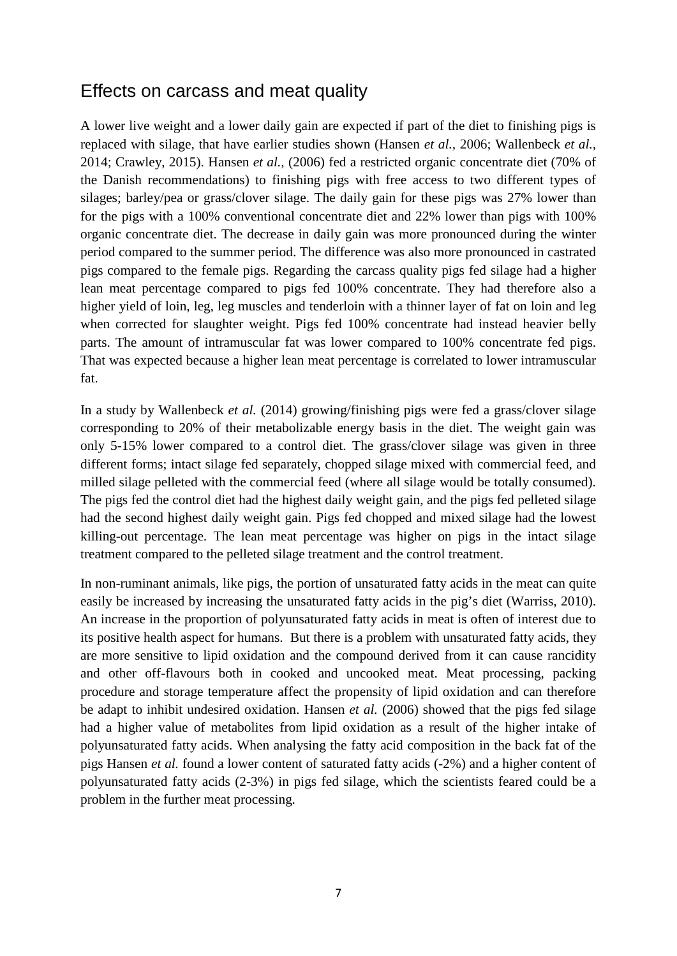#### <span id="page-12-0"></span>Effects on carcass and meat quality

A lower live weight and a lower daily gain are expected if part of the diet to finishing pigs is replaced with silage, that have earlier studies shown (Hansen *et al.,* 2006; Wallenbeck *et al.,* 2014; Crawley, 2015). Hansen *et al.,* (2006) fed a restricted organic concentrate diet (70% of the Danish recommendations) to finishing pigs with free access to two different types of silages; barley/pea or grass/clover silage. The daily gain for these pigs was 27% lower than for the pigs with a 100% conventional concentrate diet and 22% lower than pigs with 100% organic concentrate diet. The decrease in daily gain was more pronounced during the winter period compared to the summer period. The difference was also more pronounced in castrated pigs compared to the female pigs. Regarding the carcass quality pigs fed silage had a higher lean meat percentage compared to pigs fed 100% concentrate. They had therefore also a higher yield of loin, leg, leg muscles and tenderloin with a thinner layer of fat on loin and leg when corrected for slaughter weight. Pigs fed 100% concentrate had instead heavier belly parts. The amount of intramuscular fat was lower compared to 100% concentrate fed pigs. That was expected because a higher lean meat percentage is correlated to lower intramuscular fat.

In a study by Wallenbeck *et al.* (2014) growing/finishing pigs were fed a grass/clover silage corresponding to 20% of their metabolizable energy basis in the diet. The weight gain was only 5-15% lower compared to a control diet. The grass/clover silage was given in three different forms; intact silage fed separately, chopped silage mixed with commercial feed, and milled silage pelleted with the commercial feed (where all silage would be totally consumed). The pigs fed the control diet had the highest daily weight gain, and the pigs fed pelleted silage had the second highest daily weight gain. Pigs fed chopped and mixed silage had the lowest killing-out percentage. The lean meat percentage was higher on pigs in the intact silage treatment compared to the pelleted silage treatment and the control treatment.

In non-ruminant animals, like pigs, the portion of unsaturated fatty acids in the meat can quite easily be increased by increasing the unsaturated fatty acids in the pig's diet (Warriss, 2010). An increase in the proportion of polyunsaturated fatty acids in meat is often of interest due to its positive health aspect for humans. But there is a problem with unsaturated fatty acids, they are more sensitive to lipid oxidation and the compound derived from it can cause rancidity and other off-flavours both in cooked and uncooked meat. Meat processing, packing procedure and storage temperature affect the propensity of lipid oxidation and can therefore be adapt to inhibit undesired oxidation. Hansen *et al.* (2006) showed that the pigs fed silage had a higher value of metabolites from lipid oxidation as a result of the higher intake of polyunsaturated fatty acids. When analysing the fatty acid composition in the back fat of the pigs Hansen *et al.* found a lower content of saturated fatty acids (-2%) and a higher content of polyunsaturated fatty acids (2-3%) in pigs fed silage, which the scientists feared could be a problem in the further meat processing.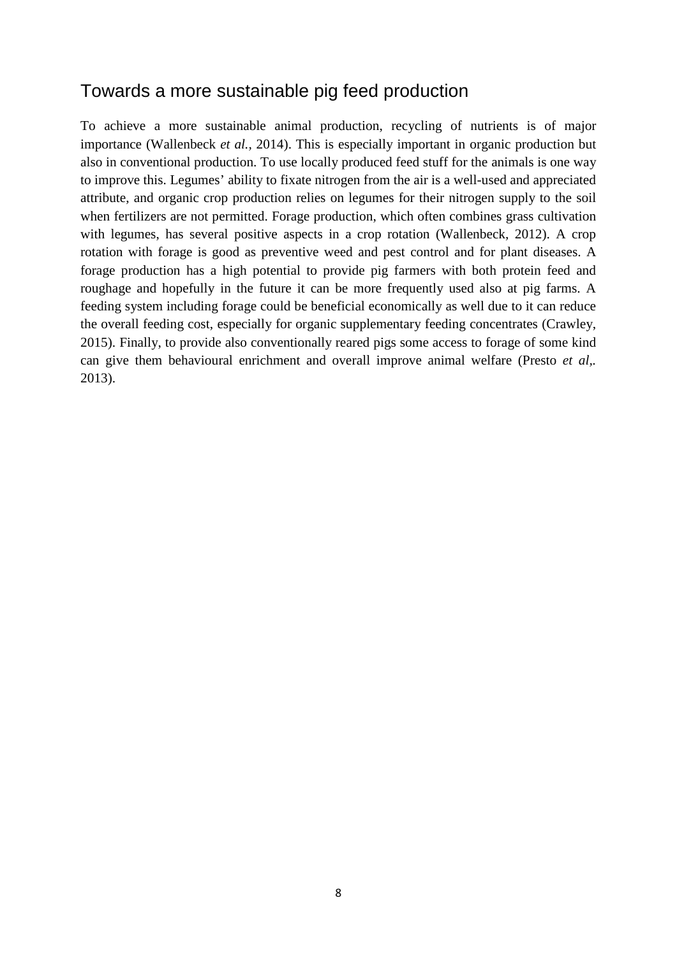#### <span id="page-13-0"></span>Towards a more sustainable pig feed production

To achieve a more sustainable animal production, recycling of nutrients is of major importance (Wallenbeck *et al.,* 2014). This is especially important in organic production but also in conventional production. To use locally produced feed stuff for the animals is one way to improve this. Legumes' ability to fixate nitrogen from the air is a well-used and appreciated attribute, and organic crop production relies on legumes for their nitrogen supply to the soil when fertilizers are not permitted. Forage production, which often combines grass cultivation with legumes, has several positive aspects in a crop rotation (Wallenbeck, 2012). A crop rotation with forage is good as preventive weed and pest control and for plant diseases. A forage production has a high potential to provide pig farmers with both protein feed and roughage and hopefully in the future it can be more frequently used also at pig farms. A feeding system including forage could be beneficial economically as well due to it can reduce the overall feeding cost, especially for organic supplementary feeding concentrates (Crawley, 2015). Finally, to provide also conventionally reared pigs some access to forage of some kind can give them behavioural enrichment and overall improve animal welfare (Presto *et al,.* 2013).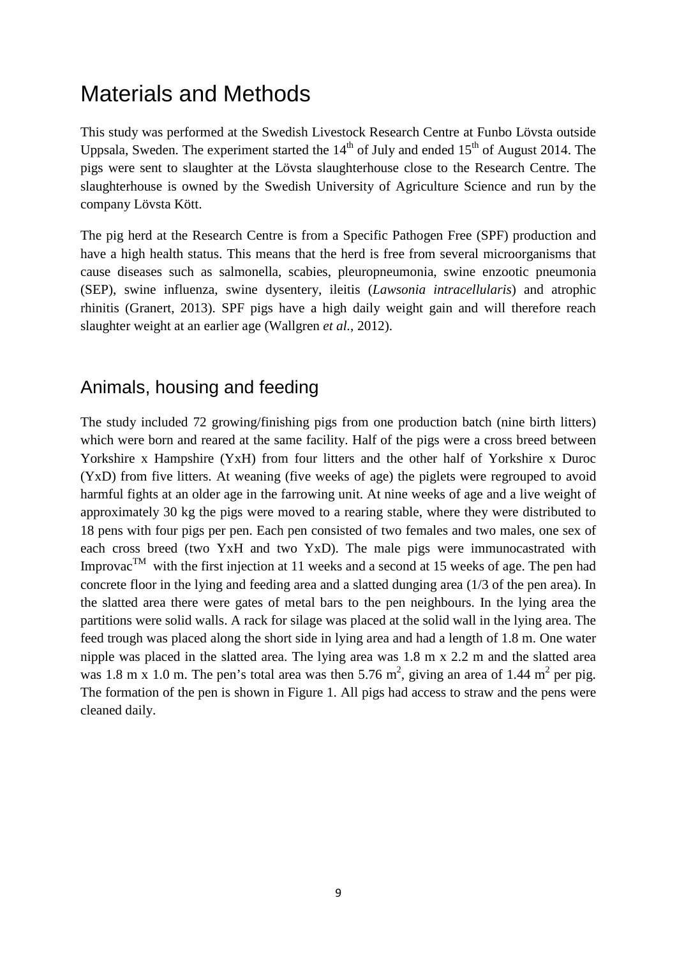## <span id="page-14-0"></span>Materials and Methods

This study was performed at the Swedish Livestock Research Centre at Funbo Lövsta outside Uppsala, Sweden. The experiment started the  $14<sup>th</sup>$  of July and ended  $15<sup>th</sup>$  of August 2014. The pigs were sent to slaughter at the Lövsta slaughterhouse close to the Research Centre. The slaughterhouse is owned by the Swedish University of Agriculture Science and run by the company Lövsta Kött.

The pig herd at the Research Centre is from a Specific Pathogen Free (SPF) production and have a high health status. This means that the herd is free from several microorganisms that cause diseases such as salmonella, scabies, pleuropneumonia, swine enzootic pneumonia (SEP), swine influenza, swine dysentery, ileitis (*Lawsonia intracellularis*) and atrophic rhinitis (Granert, 2013). SPF pigs have a high daily weight gain and will therefore reach slaughter weight at an earlier age (Wallgren *et al.*, 2012).

#### <span id="page-14-1"></span>Animals, housing and feeding

The study included 72 growing/finishing pigs from one production batch (nine birth litters) which were born and reared at the same facility. Half of the pigs were a cross breed between Yorkshire x Hampshire (YxH) from four litters and the other half of Yorkshire x Duroc (YxD) from five litters. At weaning (five weeks of age) the piglets were regrouped to avoid harmful fights at an older age in the farrowing unit. At nine weeks of age and a live weight of approximately 30 kg the pigs were moved to a rearing stable, where they were distributed to 18 pens with four pigs per pen. Each pen consisted of two females and two males, one sex of each cross breed (two YxH and two YxD). The male pigs were immunocastrated with Improvac<sup>TM</sup> with the first injection at 11 weeks and a second at 15 weeks of age. The pen had concrete floor in the lying and feeding area and a slatted dunging area (1/3 of the pen area). In the slatted area there were gates of metal bars to the pen neighbours. In the lying area the partitions were solid walls. A rack for silage was placed at the solid wall in the lying area. The feed trough was placed along the short side in lying area and had a length of 1.8 m. One water nipple was placed in the slatted area. The lying area was 1.8 m x 2.2 m and the slatted area was 1.8 m x 1.0 m. The pen's total area was then 5.76 m<sup>2</sup>, giving an area of 1.44 m<sup>2</sup> per pig. The formation of the pen is shown in Figure 1. All pigs had access to straw and the pens were cleaned daily.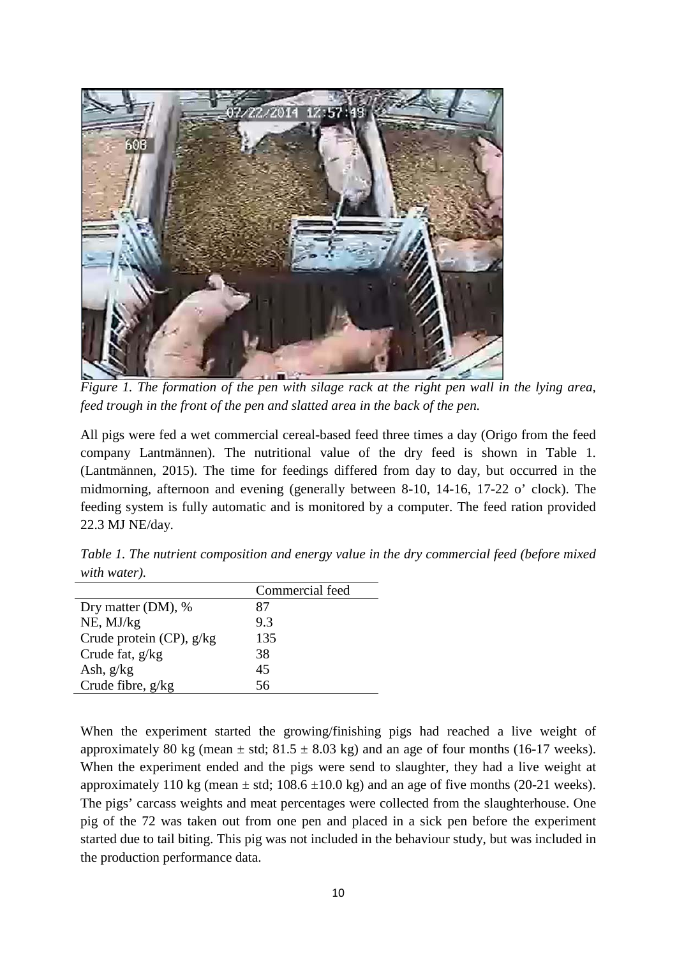

*Figure 1. The formation of the pen with silage rack at the right pen wall in the lying area, feed trough in the front of the pen and slatted area in the back of the pen.*

All pigs were fed a wet commercial cereal-based feed three times a day (Origo from the feed company Lantmännen). The nutritional value of the dry feed is shown in Table 1. (Lantmännen, 2015). The time for feedings differed from day to day, but occurred in the midmorning, afternoon and evening (generally between 8-10, 14-16, 17-22 o' clock). The feeding system is fully automatic and is monitored by a computer. The feed ration provided 22.3 MJ NE/day.

*Table 1. The nutrient composition and energy value in the dry commercial feed (before mixed with water).*

|                          | Commercial feed |
|--------------------------|-----------------|
| Dry matter (DM), %       | 87              |
| NE, MJ/kg                | 9.3             |
| Crude protein (CP), g/kg | 135             |
| Crude fat, $g/kg$        | 38              |
| Ash, $g/kg$              | 45              |
| Crude fibre, g/kg        | 56.             |

When the experiment started the growing/finishing pigs had reached a live weight of approximately 80 kg (mean  $\pm$  std; 81.5  $\pm$  8.03 kg) and an age of four months (16-17 weeks). When the experiment ended and the pigs were send to slaughter, they had a live weight at approximately 110 kg (mean  $\pm$  std; 108.6  $\pm$ 10.0 kg) and an age of five months (20-21 weeks). The pigs' carcass weights and meat percentages were collected from the slaughterhouse. One pig of the 72 was taken out from one pen and placed in a sick pen before the experiment started due to tail biting. This pig was not included in the behaviour study, but was included in the production performance data.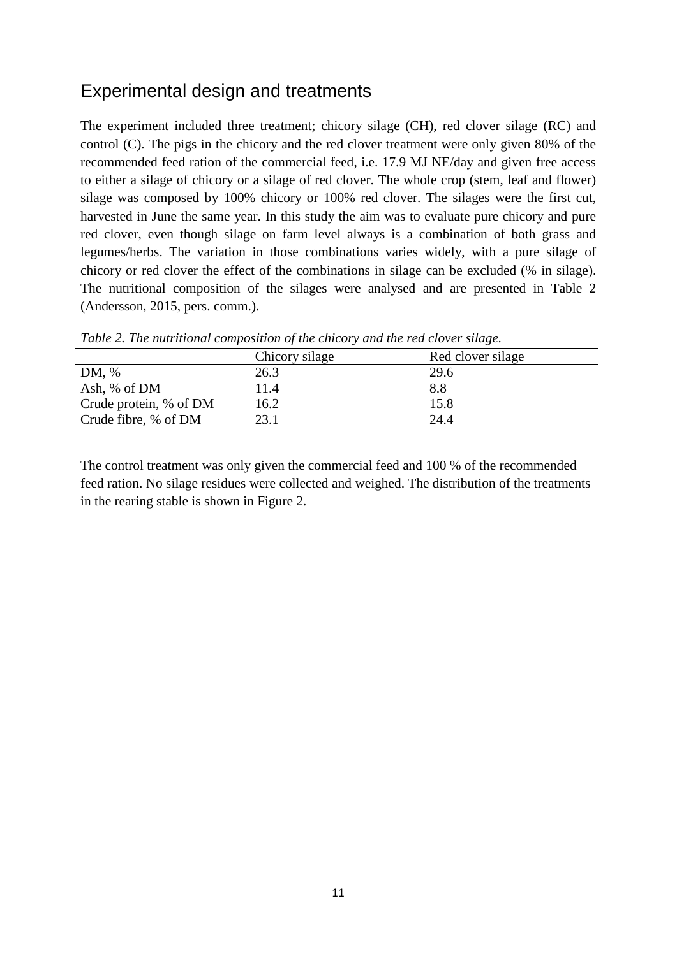#### <span id="page-16-0"></span>Experimental design and treatments

The experiment included three treatment; chicory silage (CH), red clover silage (RC) and control (C). The pigs in the chicory and the red clover treatment were only given 80% of the recommended feed ration of the commercial feed, i.e. 17.9 MJ NE/day and given free access to either a silage of chicory or a silage of red clover. The whole crop (stem, leaf and flower) silage was composed by 100% chicory or 100% red clover. The silages were the first cut, harvested in June the same year. In this study the aim was to evaluate pure chicory and pure red clover, even though silage on farm level always is a combination of both grass and legumes/herbs. The variation in those combinations varies widely, with a pure silage of chicory or red clover the effect of the combinations in silage can be excluded (% in silage). The nutritional composition of the silages were analysed and are presented in Table 2 (Andersson, 2015, pers. comm.).

|                        | Chicory silage | Red clover silage |  |
|------------------------|----------------|-------------------|--|
| DM, %                  | 26.3           | 29.6              |  |
| Ash, % of DM           | 11.4           | 8.8               |  |
| Crude protein, % of DM | 16.2           | 15.8              |  |
| Crude fibre, % of DM   | 23.1           | 24.4              |  |

*Table 2. The nutritional composition of the chicory and the red clover silage.*

The control treatment was only given the commercial feed and 100 % of the recommended feed ration. No silage residues were collected and weighed. The distribution of the treatments in the rearing stable is shown in Figure 2.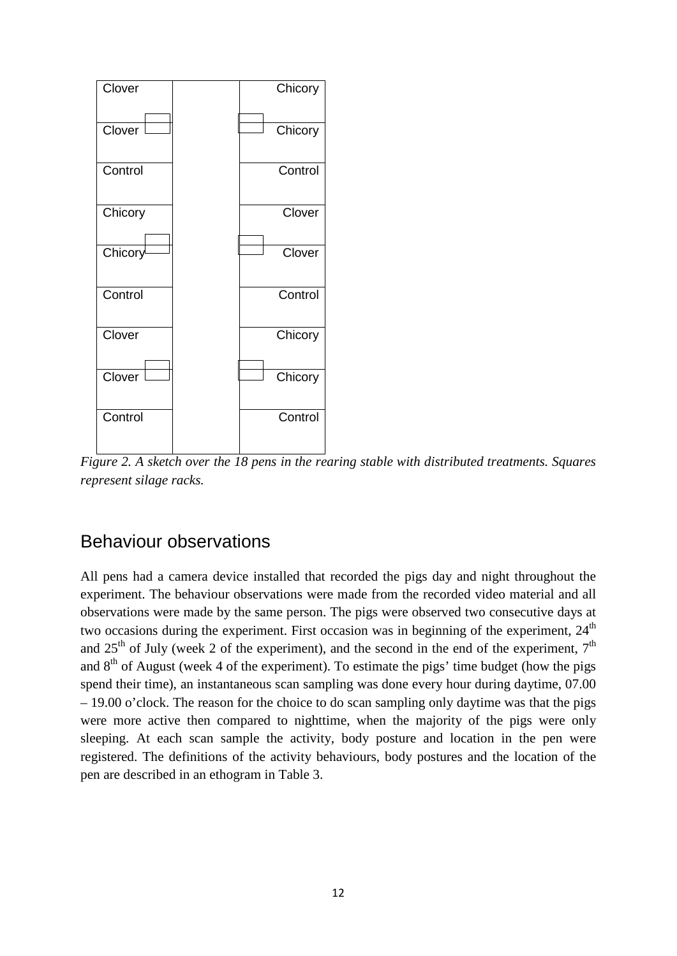

*Figure 2. A sketch over the 18 pens in the rearing stable with distributed treatments. Squares represent silage racks.*

#### <span id="page-17-0"></span>Behaviour observations

All pens had a camera device installed that recorded the pigs day and night throughout the experiment. The behaviour observations were made from the recorded video material and all observations were made by the same person. The pigs were observed two consecutive days at two occasions during the experiment. First occasion was in beginning of the experiment,  $24<sup>th</sup>$ and  $25<sup>th</sup>$  of July (week 2 of the experiment), and the second in the end of the experiment,  $7<sup>th</sup>$ and  $8<sup>th</sup>$  of August (week 4 of the experiment). To estimate the pigs' time budget (how the pigs spend their time), an instantaneous scan sampling was done every hour during daytime, 07.00 – 19.00 o'clock. The reason for the choice to do scan sampling only daytime was that the pigs were more active then compared to nighttime, when the majority of the pigs were only sleeping. At each scan sample the activity, body posture and location in the pen were registered. The definitions of the activity behaviours, body postures and the location of the pen are described in an ethogram in Table 3.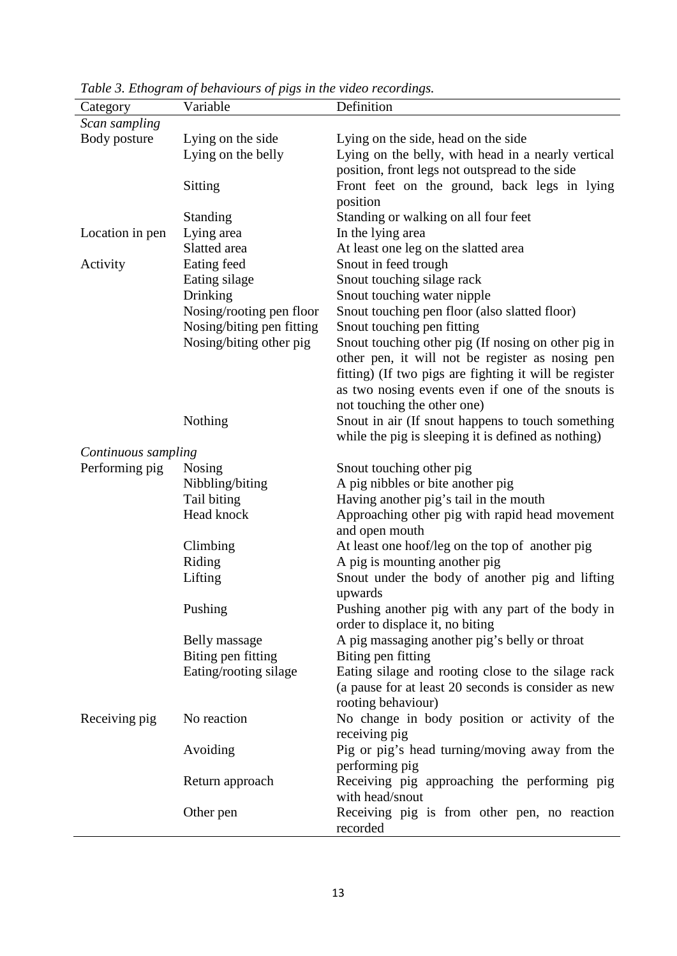| Category            | Variable                  | Definition                                             |
|---------------------|---------------------------|--------------------------------------------------------|
| Scan sampling       |                           |                                                        |
| Body posture        | Lying on the side         | Lying on the side, head on the side                    |
|                     | Lying on the belly        | Lying on the belly, with head in a nearly vertical     |
|                     |                           | position, front legs not outspread to the side         |
|                     | Sitting                   | Front feet on the ground, back legs in lying           |
|                     |                           | position                                               |
|                     | <b>Standing</b>           | Standing or walking on all four feet                   |
| Location in pen     | Lying area                | In the lying area                                      |
|                     | Slatted area              | At least one leg on the slatted area                   |
| Activity            | Eating feed               | Snout in feed trough                                   |
|                     | Eating silage             | Snout touching silage rack                             |
|                     | Drinking                  | Snout touching water nipple                            |
|                     | Nosing/rooting pen floor  | Snout touching pen floor (also slatted floor)          |
|                     | Nosing/biting pen fitting | Snout touching pen fitting                             |
|                     | Nosing/biting other pig   | Snout touching other pig (If nosing on other pig in    |
|                     |                           | other pen, it will not be register as nosing pen       |
|                     |                           | fitting) (If two pigs are fighting it will be register |
|                     |                           | as two nosing events even if one of the snouts is      |
|                     |                           | not touching the other one)                            |
|                     | Nothing                   | Snout in air (If snout happens to touch something      |
|                     |                           | while the pig is sleeping it is defined as nothing)    |
| Continuous sampling |                           |                                                        |
| Performing pig      | Nosing                    | Snout touching other pig                               |
|                     | Nibbling/biting           | A pig nibbles or bite another pig                      |
|                     | Tail biting               | Having another pig's tail in the mouth                 |
|                     | Head knock                | Approaching other pig with rapid head movement         |
|                     |                           | and open mouth                                         |
|                     | Climbing                  | At least one hoof/leg on the top of another pig        |
|                     | Riding                    | A pig is mounting another pig                          |
|                     | Lifting                   | Snout under the body of another pig and lifting        |
|                     |                           | upwards                                                |
|                     | Pushing                   | Pushing another pig with any part of the body in       |
|                     |                           | order to displace it, no biting                        |
|                     | Belly massage             | A pig massaging another pig's belly or throat          |
|                     | Biting pen fitting        | Biting pen fitting                                     |
|                     | Eating/rooting silage     | Eating silage and rooting close to the silage rack     |
|                     |                           | (a pause for at least 20 seconds is consider as new    |
|                     |                           | rooting behaviour)                                     |
| Receiving pig       | No reaction               | No change in body position or activity of the          |
|                     |                           | receiving pig                                          |
|                     | Avoiding                  | Pig or pig's head turning/moving away from the         |
|                     |                           | performing pig                                         |
|                     | Return approach           | Receiving pig approaching the performing pig           |
|                     |                           | with head/snout                                        |
|                     | Other pen                 | Receiving pig is from other pen, no reaction           |
|                     |                           | recorded                                               |
|                     |                           |                                                        |

*Table 3. Ethogram of behaviours of pigs in the video recordings.*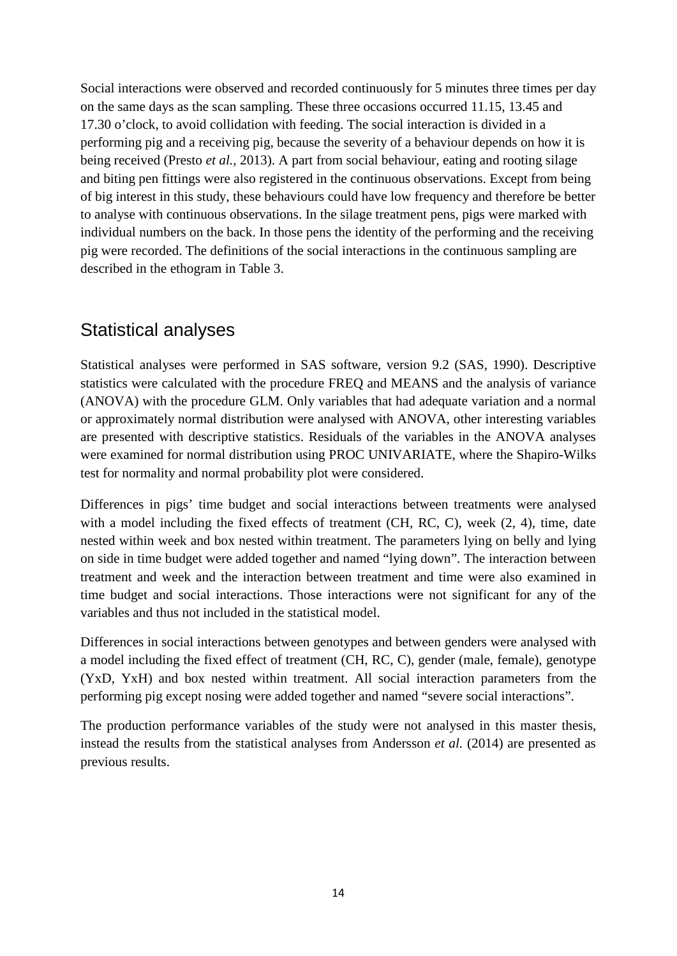Social interactions were observed and recorded continuously for 5 minutes three times per day on the same days as the scan sampling. These three occasions occurred 11.15, 13.45 and 17.30 o'clock, to avoid collidation with feeding. The social interaction is divided in a performing pig and a receiving pig, because the severity of a behaviour depends on how it is being received (Presto *et al.,* 2013). A part from social behaviour, eating and rooting silage and biting pen fittings were also registered in the continuous observations. Except from being of big interest in this study, these behaviours could have low frequency and therefore be better to analyse with continuous observations. In the silage treatment pens, pigs were marked with individual numbers on the back. In those pens the identity of the performing and the receiving pig were recorded. The definitions of the social interactions in the continuous sampling are described in the ethogram in Table 3.

#### <span id="page-19-0"></span>Statistical analyses

Statistical analyses were performed in SAS software, version 9.2 (SAS, 1990). Descriptive statistics were calculated with the procedure FREQ and MEANS and the analysis of variance (ANOVA) with the procedure GLM. Only variables that had adequate variation and a normal or approximately normal distribution were analysed with ANOVA, other interesting variables are presented with descriptive statistics. Residuals of the variables in the ANOVA analyses were examined for normal distribution using PROC UNIVARIATE, where the Shapiro-Wilks test for normality and normal probability plot were considered.

Differences in pigs' time budget and social interactions between treatments were analysed with a model including the fixed effects of treatment (CH, RC, C), week  $(2, 4)$ , time, date nested within week and box nested within treatment. The parameters lying on belly and lying on side in time budget were added together and named "lying down". The interaction between treatment and week and the interaction between treatment and time were also examined in time budget and social interactions. Those interactions were not significant for any of the variables and thus not included in the statistical model.

Differences in social interactions between genotypes and between genders were analysed with a model including the fixed effect of treatment (CH, RC, C), gender (male, female), genotype (YxD, YxH) and box nested within treatment. All social interaction parameters from the performing pig except nosing were added together and named "severe social interactions".

The production performance variables of the study were not analysed in this master thesis, instead the results from the statistical analyses from Andersson *et al.* (2014) are presented as previous results.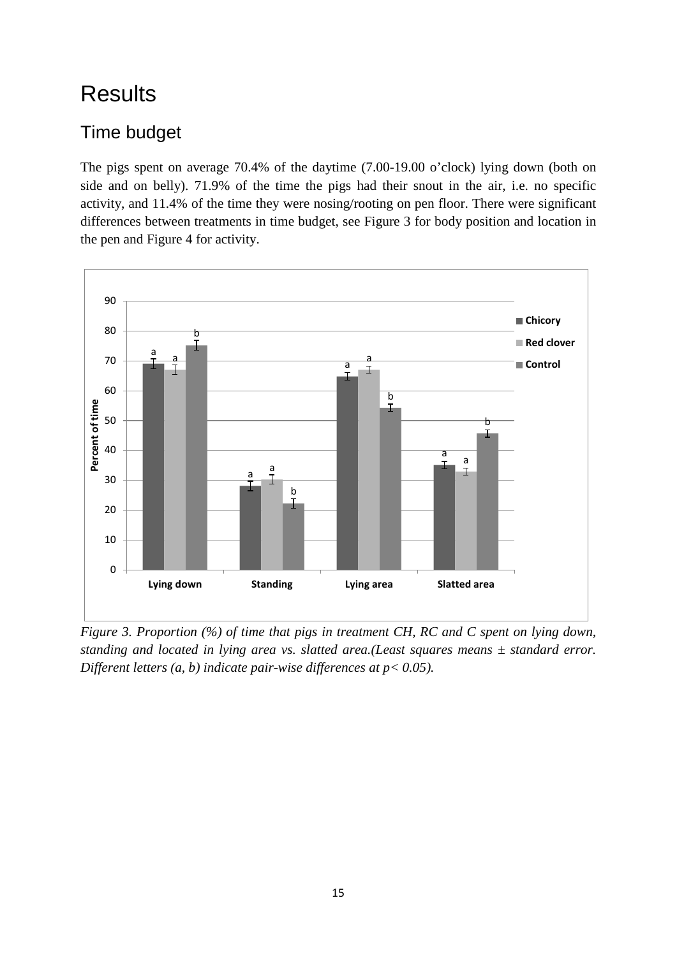# <span id="page-20-0"></span>**Results**

#### <span id="page-20-1"></span>Time budget

The pigs spent on average 70.4% of the daytime (7.00-19.00 o'clock) lying down (both on side and on belly). 71.9% of the time the pigs had their snout in the air, i.e. no specific activity, and 11.4% of the time they were nosing/rooting on pen floor. There were significant differences between treatments in time budget, see Figure 3 for body position and location in the pen and Figure 4 for activity.



*Figure 3. Proportion (%) of time that pigs in treatment CH, RC and C spent on lying down, standing and located in lying area vs. slatted area.(Least squares means ± standard error. Different letters (a, b) indicate pair-wise differences at p< 0.05).*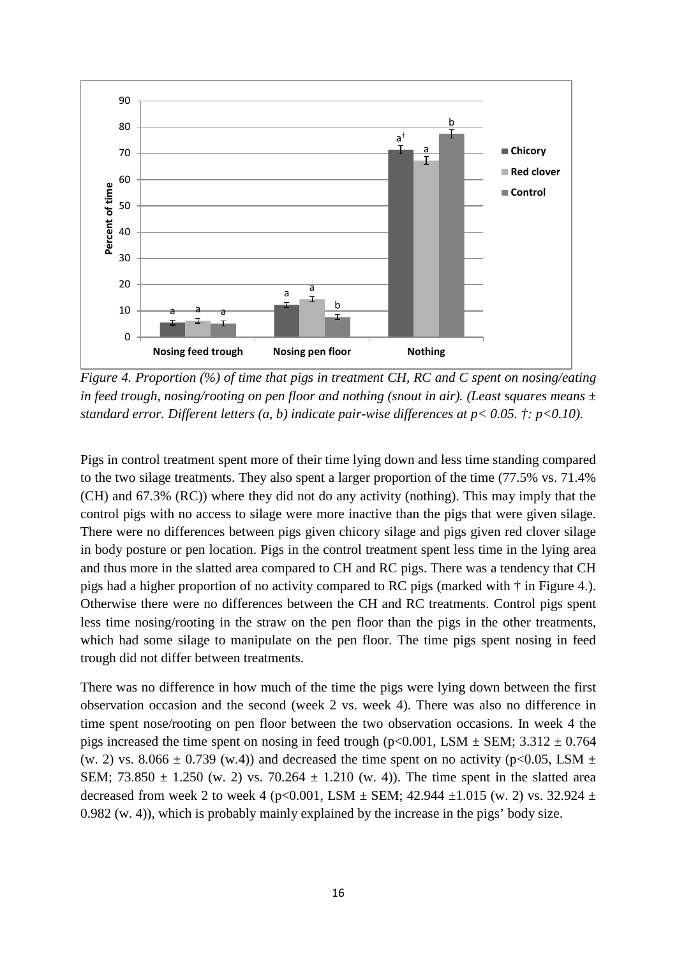

*Figure 4. Proportion (%) of time that pigs in treatment CH, RC and C spent on nosing/eating in feed trough, nosing/rooting on pen floor and nothing (snout in air). (Least squares means ± standard error. Different letters (a, b) indicate pair-wise differences at p< 0.05. †: p<0.10).*

Pigs in control treatment spent more of their time lying down and less time standing compared to the two silage treatments. They also spent a larger proportion of the time (77.5% vs. 71.4% (CH) and 67.3% (RC)) where they did not do any activity (nothing). This may imply that the control pigs with no access to silage were more inactive than the pigs that were given silage. There were no differences between pigs given chicory silage and pigs given red clover silage in body posture or pen location. Pigs in the control treatment spent less time in the lying area and thus more in the slatted area compared to CH and RC pigs. There was a tendency that CH pigs had a higher proportion of no activity compared to RC pigs (marked with † in Figure 4.). Otherwise there were no differences between the CH and RC treatments. Control pigs spent less time nosing/rooting in the straw on the pen floor than the pigs in the other treatments, which had some silage to manipulate on the pen floor. The time pigs spent nosing in feed trough did not differ between treatments.

There was no difference in how much of the time the pigs were lying down between the first observation occasion and the second (week 2 vs. week 4). There was also no difference in time spent nose/rooting on pen floor between the two observation occasions. In week 4 the pigs increased the time spent on nosing in feed trough (p<0.001, LSM  $\pm$  SEM; 3.312  $\pm$  0.764 (w. 2) vs. 8.066  $\pm$  0.739 (w.4)) and decreased the time spent on no activity (p<0.05, LSM  $\pm$ SEM; 73.850  $\pm$  1.250 (w. 2) vs. 70.264  $\pm$  1.210 (w. 4)). The time spent in the slatted area decreased from week 2 to week 4 (p<0.001, LSM  $\pm$  SEM; 42.944  $\pm$ 1.015 (w. 2) vs. 32.924  $\pm$ 0.982 (w. 4)), which is probably mainly explained by the increase in the pigs' body size.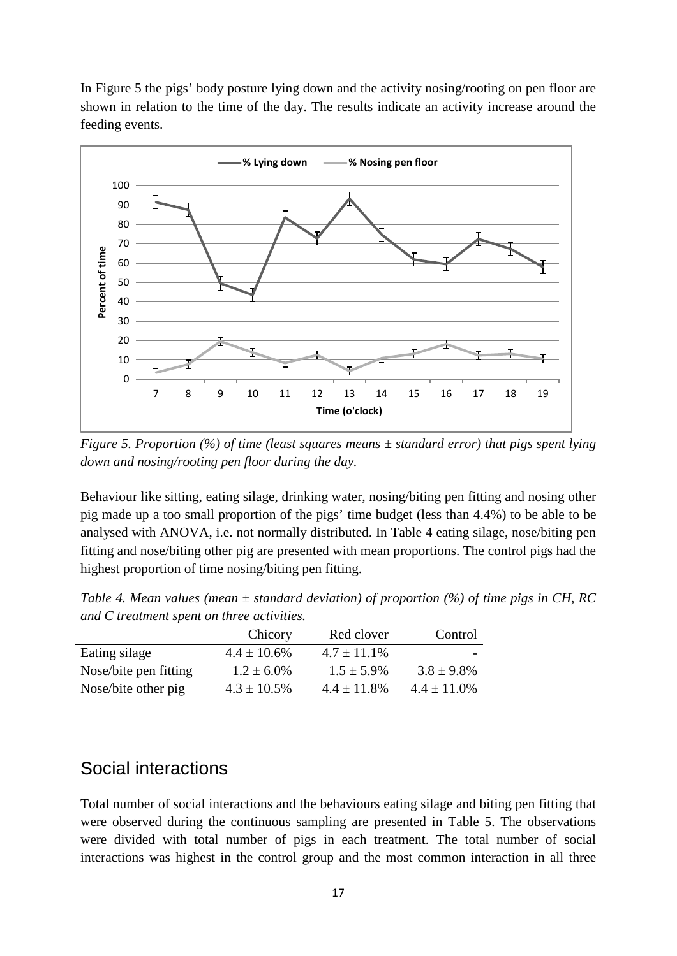In Figure 5 the pigs' body posture lying down and the activity nosing/rooting on pen floor are shown in relation to the time of the day. The results indicate an activity increase around the feeding events.



*Figure 5. Proportion (%) of time (least squares means ± standard error) that pigs spent lying down and nosing/rooting pen floor during the day.* 

Behaviour like sitting, eating silage, drinking water, nosing/biting pen fitting and nosing other pig made up a too small proportion of the pigs' time budget (less than 4.4%) to be able to be analysed with ANOVA, i.e. not normally distributed. In Table 4 eating silage, nose/biting pen fitting and nose/biting other pig are presented with mean proportions. The control pigs had the highest proportion of time nosing/biting pen fitting.

| and C treatment spent on three activities. |                  |                  |                  |  |
|--------------------------------------------|------------------|------------------|------------------|--|
|                                            | Chicory          | Red clover       | Control          |  |
| Eating silage                              | $4.4 \pm 10.6\%$ | $4.7 \pm 11.1\%$ |                  |  |
| Nose/bite pen fitting                      | $1.2 \pm 6.0\%$  | $1.5 \pm 5.9\%$  | $3.8 \pm 9.8\%$  |  |
| Nose/bite other pig                        | $4.3 \pm 10.5\%$ | $4.4 \pm 11.8\%$ | $4.4 \pm 11.0\%$ |  |

*Table 4. Mean values (mean ± standard deviation) of proportion (%) of time pigs in CH, RC and C treatment spent on three activities.*

#### <span id="page-22-0"></span>Social interactions

Total number of social interactions and the behaviours eating silage and biting pen fitting that were observed during the continuous sampling are presented in Table 5. The observations were divided with total number of pigs in each treatment. The total number of social interactions was highest in the control group and the most common interaction in all three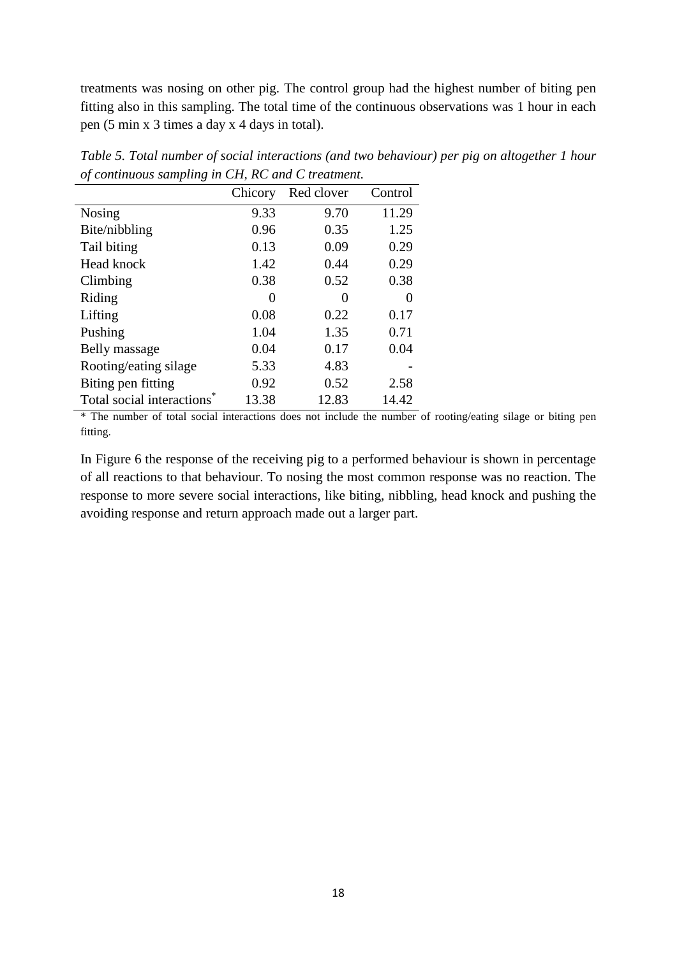treatments was nosing on other pig. The control group had the highest number of biting pen fitting also in this sampling. The total time of the continuous observations was 1 hour in each pen (5 min x 3 times a day x 4 days in total).

|                           | Chicory | Red clover | Control |
|---------------------------|---------|------------|---------|
| Nosing                    | 9.33    | 9.70       | 11.29   |
| Bite/nibbling             | 0.96    | 0.35       | 1.25    |
| Tail biting               | 0.13    | 0.09       | 0.29    |
| Head knock                | 1.42    | 0.44       | 0.29    |
| Climbing                  | 0.38    | 0.52       | 0.38    |
| Riding                    | 0       | 0          | 0       |
| Lifting                   | 0.08    | 0.22       | 0.17    |
| Pushing                   | 1.04    | 1.35       | 0.71    |
| Belly massage             | 0.04    | 0.17       | 0.04    |
| Rooting/eating silage     | 5.33    | 4.83       |         |
| Biting pen fitting        | 0.92    | 0.52       | 2.58    |
| Total social interactions | 13.38   | 12.83      | 14.42   |

*Table 5. Total number of social interactions (and two behaviour) per pig on altogether 1 hour of continuous sampling in CH, RC and C treatment.*

\* The number of total social interactions does not include the number of rooting/eating silage or biting pen fitting.

In Figure 6 the response of the receiving pig to a performed behaviour is shown in percentage of all reactions to that behaviour. To nosing the most common response was no reaction. The response to more severe social interactions, like biting, nibbling, head knock and pushing the avoiding response and return approach made out a larger part.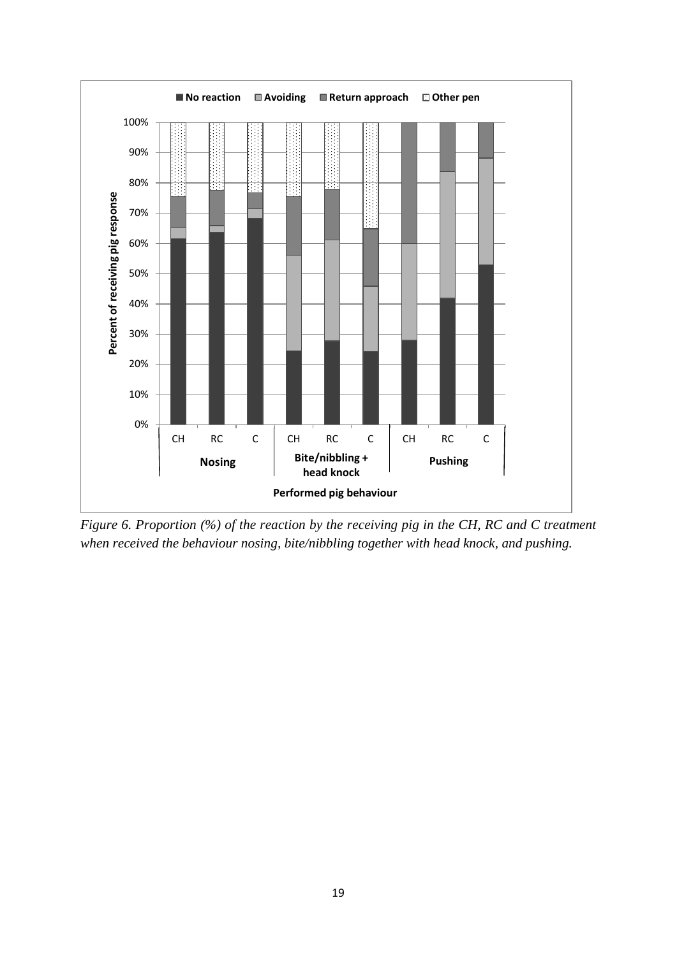

*Figure 6. Proportion (%) of the reaction by the receiving pig in the CH, RC and C treatment when received the behaviour nosing, bite/nibbling together with head knock, and pushing.*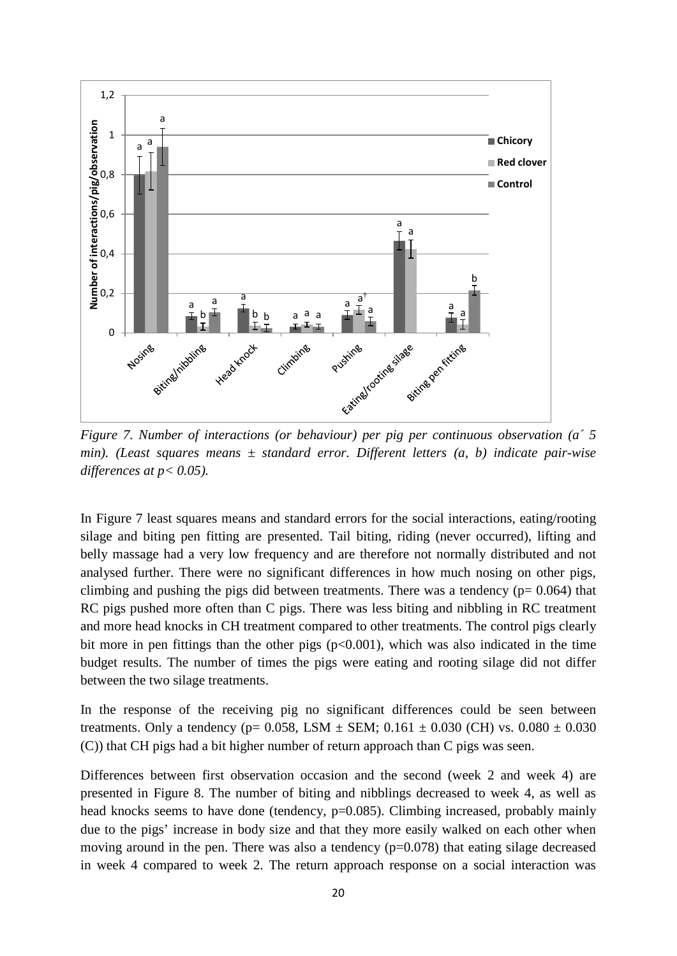

*Figure 7. Number of interactions (or behaviour) per pig per continuous observation (a´ 5 min). (Least squares means ± standard error. Different letters (a, b) indicate pair-wise differences at p< 0.05).*

In Figure 7 least squares means and standard errors for the social interactions, eating/rooting silage and biting pen fitting are presented. Tail biting, riding (never occurred), lifting and belly massage had a very low frequency and are therefore not normally distributed and not analysed further. There were no significant differences in how much nosing on other pigs, climbing and pushing the pigs did between treatments. There was a tendency  $(p= 0.064)$  that RC pigs pushed more often than C pigs. There was less biting and nibbling in RC treatment and more head knocks in CH treatment compared to other treatments. The control pigs clearly bit more in pen fittings than the other pigs  $(p<0.001)$ , which was also indicated in the time budget results. The number of times the pigs were eating and rooting silage did not differ between the two silage treatments.

In the response of the receiving pig no significant differences could be seen between treatments. Only a tendency ( $p= 0.058$ , LSM  $\pm$  SEM; 0.161  $\pm$  0.030 (CH) vs. 0.080  $\pm$  0.030 (C)) that CH pigs had a bit higher number of return approach than C pigs was seen.

Differences between first observation occasion and the second (week 2 and week 4) are presented in Figure 8. The number of biting and nibblings decreased to week 4, as well as head knocks seems to have done (tendency, p=0.085). Climbing increased, probably mainly due to the pigs' increase in body size and that they more easily walked on each other when moving around in the pen. There was also a tendency  $(p=0.078)$  that eating silage decreased in week 4 compared to week 2. The return approach response on a social interaction was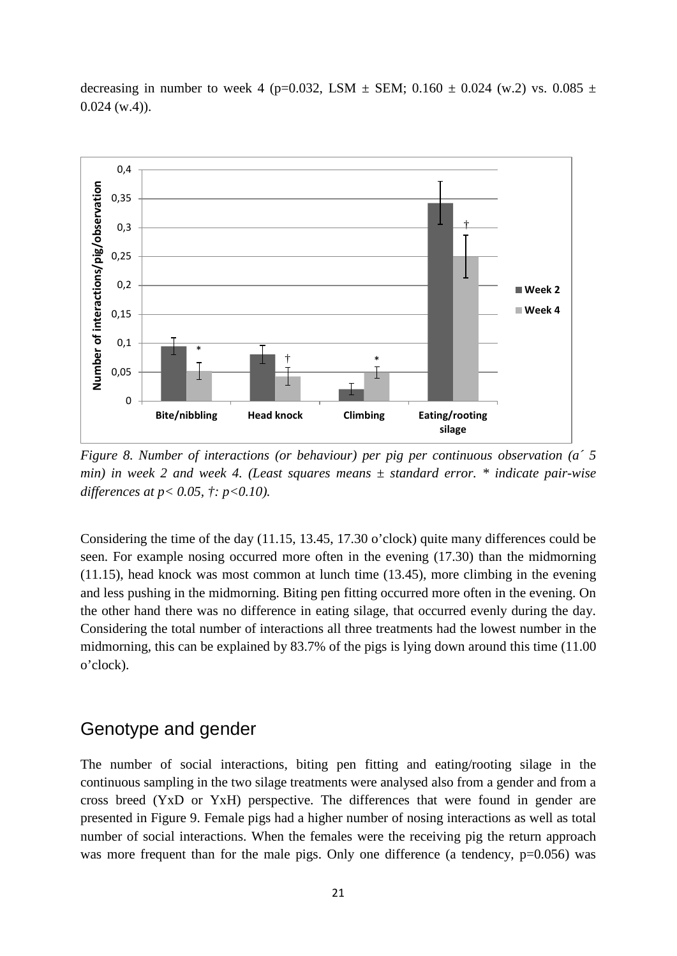

decreasing in number to week 4 (p=0.032, LSM  $\pm$  SEM; 0.160  $\pm$  0.024 (w.2) vs. 0.085  $\pm$  $0.024$  (w.4)).

*Figure 8. Number of interactions (or behaviour) per pig per continuous observation (a´ 5 min) in week 2 and week 4. (Least squares means ± standard error. \* indicate pair-wise differences at p< 0.05, †: p<0.10).*

Considering the time of the day (11.15, 13.45, 17.30 o'clock) quite many differences could be seen. For example nosing occurred more often in the evening (17.30) than the midmorning (11.15), head knock was most common at lunch time (13.45), more climbing in the evening and less pushing in the midmorning. Biting pen fitting occurred more often in the evening. On the other hand there was no difference in eating silage, that occurred evenly during the day. Considering the total number of interactions all three treatments had the lowest number in the midmorning, this can be explained by 83.7% of the pigs is lying down around this time (11.00 o'clock).

#### <span id="page-26-0"></span>Genotype and gender

The number of social interactions, biting pen fitting and eating/rooting silage in the continuous sampling in the two silage treatments were analysed also from a gender and from a cross breed (YxD or YxH) perspective. The differences that were found in gender are presented in Figure 9. Female pigs had a higher number of nosing interactions as well as total number of social interactions. When the females were the receiving pig the return approach was more frequent than for the male pigs. Only one difference (a tendency, p=0.056) was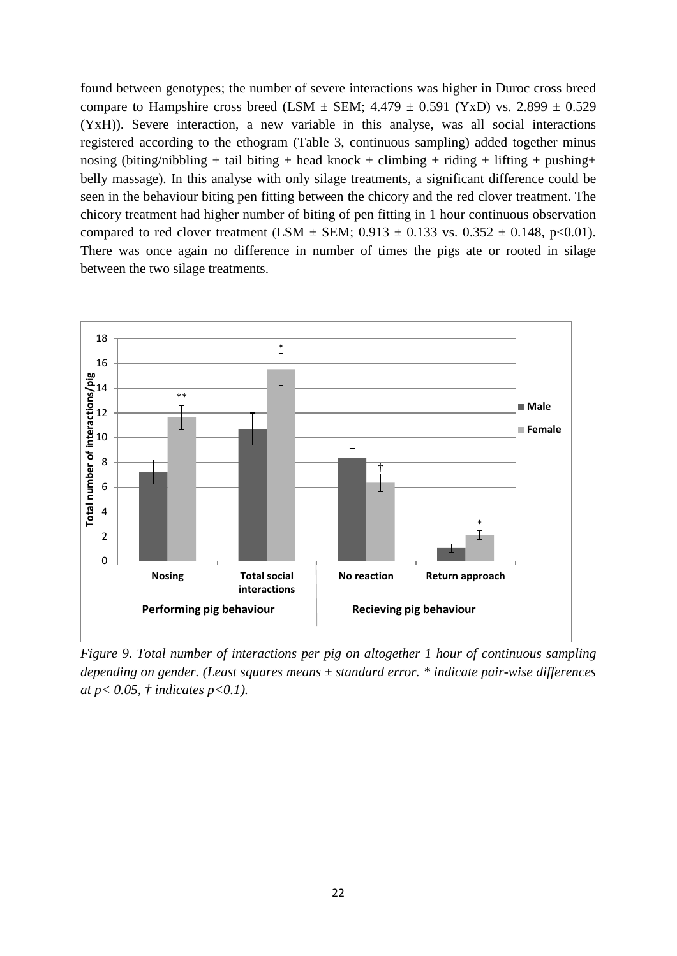found between genotypes; the number of severe interactions was higher in Duroc cross breed compare to Hampshire cross breed (LSM  $\pm$  SEM; 4.479  $\pm$  0.591 (YxD) vs. 2.899  $\pm$  0.529 (YxH)). Severe interaction, a new variable in this analyse, was all social interactions registered according to the ethogram (Table 3, continuous sampling) added together minus nosing (biting/nibbling + tail biting + head knock + climbing + riding + lifting + pushing + belly massage). In this analyse with only silage treatments, a significant difference could be seen in the behaviour biting pen fitting between the chicory and the red clover treatment. The chicory treatment had higher number of biting of pen fitting in 1 hour continuous observation compared to red clover treatment (LSM  $\pm$  SEM; 0.913  $\pm$  0.133 vs. 0.352  $\pm$  0.148, p<0.01). There was once again no difference in number of times the pigs ate or rooted in silage between the two silage treatments.



*Figure 9. Total number of interactions per pig on altogether 1 hour of continuous sampling depending on gender. (Least squares means ± standard error. \* indicate pair-wise differences at p< 0.05, † indicates p<0.1).*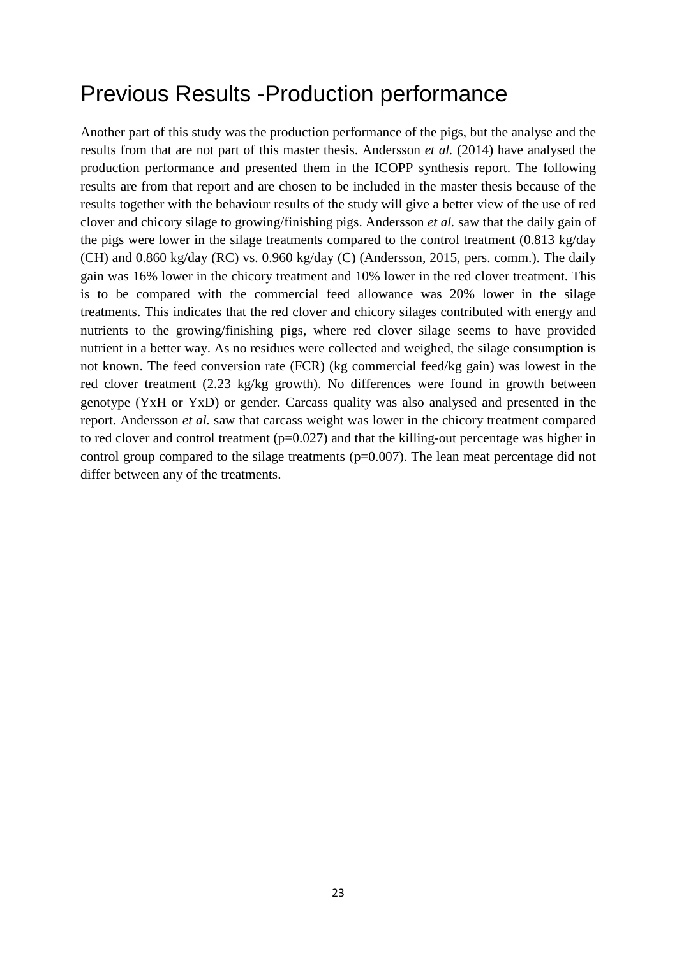### <span id="page-28-0"></span>Previous Results -Production performance

Another part of this study was the production performance of the pigs, but the analyse and the results from that are not part of this master thesis. Andersson *et al.* (2014) have analysed the production performance and presented them in the ICOPP synthesis report. The following results are from that report and are chosen to be included in the master thesis because of the results together with the behaviour results of the study will give a better view of the use of red clover and chicory silage to growing/finishing pigs. Andersson *et al.* saw that the daily gain of the pigs were lower in the silage treatments compared to the control treatment (0.813 kg/day (CH) and 0.860 kg/day (RC) vs. 0.960 kg/day (C) (Andersson, 2015, pers. comm.). The daily gain was 16% lower in the chicory treatment and 10% lower in the red clover treatment. This is to be compared with the commercial feed allowance was 20% lower in the silage treatments. This indicates that the red clover and chicory silages contributed with energy and nutrients to the growing/finishing pigs, where red clover silage seems to have provided nutrient in a better way. As no residues were collected and weighed, the silage consumption is not known. The feed conversion rate (FCR) (kg commercial feed/kg gain) was lowest in the red clover treatment (2.23 kg/kg growth). No differences were found in growth between genotype (YxH or YxD) or gender. Carcass quality was also analysed and presented in the report. Andersson *et al.* saw that carcass weight was lower in the chicory treatment compared to red clover and control treatment  $(p=0.027)$  and that the killing-out percentage was higher in control group compared to the silage treatments ( $p=0.007$ ). The lean meat percentage did not differ between any of the treatments.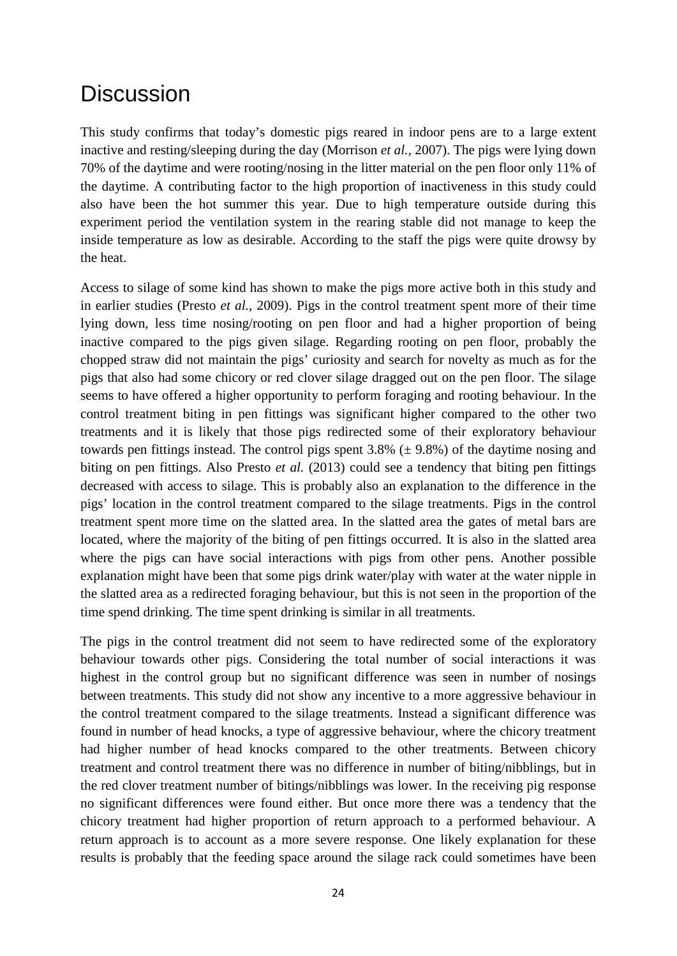### <span id="page-29-0"></span>**Discussion**

This study confirms that today's domestic pigs reared in indoor pens are to a large extent inactive and resting/sleeping during the day (Morrison *et al.,* 2007). The pigs were lying down 70% of the daytime and were rooting/nosing in the litter material on the pen floor only 11% of the daytime. A contributing factor to the high proportion of inactiveness in this study could also have been the hot summer this year. Due to high temperature outside during this experiment period the ventilation system in the rearing stable did not manage to keep the inside temperature as low as desirable. According to the staff the pigs were quite drowsy by the heat.

Access to silage of some kind has shown to make the pigs more active both in this study and in earlier studies (Presto *et al.,* 2009). Pigs in the control treatment spent more of their time lying down, less time nosing/rooting on pen floor and had a higher proportion of being inactive compared to the pigs given silage. Regarding rooting on pen floor, probably the chopped straw did not maintain the pigs' curiosity and search for novelty as much as for the pigs that also had some chicory or red clover silage dragged out on the pen floor. The silage seems to have offered a higher opportunity to perform foraging and rooting behaviour. In the control treatment biting in pen fittings was significant higher compared to the other two treatments and it is likely that those pigs redirected some of their exploratory behaviour towards pen fittings instead. The control pigs spent  $3.8\%$  ( $\pm$  9.8%) of the daytime nosing and biting on pen fittings. Also Presto *et al.* (2013) could see a tendency that biting pen fittings decreased with access to silage. This is probably also an explanation to the difference in the pigs' location in the control treatment compared to the silage treatments. Pigs in the control treatment spent more time on the slatted area. In the slatted area the gates of metal bars are located, where the majority of the biting of pen fittings occurred. It is also in the slatted area where the pigs can have social interactions with pigs from other pens. Another possible explanation might have been that some pigs drink water/play with water at the water nipple in the slatted area as a redirected foraging behaviour, but this is not seen in the proportion of the time spend drinking. The time spent drinking is similar in all treatments.

The pigs in the control treatment did not seem to have redirected some of the exploratory behaviour towards other pigs. Considering the total number of social interactions it was highest in the control group but no significant difference was seen in number of nosings between treatments. This study did not show any incentive to a more aggressive behaviour in the control treatment compared to the silage treatments. Instead a significant difference was found in number of head knocks, a type of aggressive behaviour, where the chicory treatment had higher number of head knocks compared to the other treatments. Between chicory treatment and control treatment there was no difference in number of biting/nibblings, but in the red clover treatment number of bitings/nibblings was lower. In the receiving pig response no significant differences were found either. But once more there was a tendency that the chicory treatment had higher proportion of return approach to a performed behaviour. A return approach is to account as a more severe response. One likely explanation for these results is probably that the feeding space around the silage rack could sometimes have been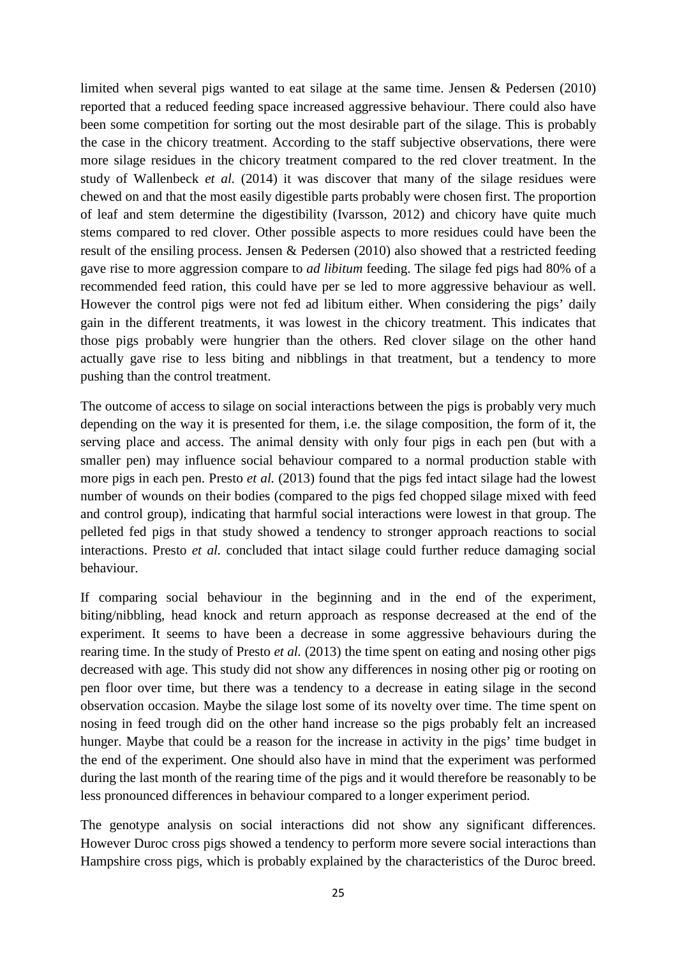limited when several pigs wanted to eat silage at the same time. Jensen & Pedersen (2010) reported that a reduced feeding space increased aggressive behaviour. There could also have been some competition for sorting out the most desirable part of the silage. This is probably the case in the chicory treatment. According to the staff subjective observations, there were more silage residues in the chicory treatment compared to the red clover treatment. In the study of Wallenbeck *et al.* (2014) it was discover that many of the silage residues were chewed on and that the most easily digestible parts probably were chosen first. The proportion of leaf and stem determine the digestibility (Ivarsson, 2012) and chicory have quite much stems compared to red clover. Other possible aspects to more residues could have been the result of the ensiling process. Jensen & Pedersen (2010) also showed that a restricted feeding gave rise to more aggression compare to *ad libitum* feeding. The silage fed pigs had 80% of a recommended feed ration, this could have per se led to more aggressive behaviour as well. However the control pigs were not fed ad libitum either. When considering the pigs' daily gain in the different treatments, it was lowest in the chicory treatment. This indicates that those pigs probably were hungrier than the others. Red clover silage on the other hand actually gave rise to less biting and nibblings in that treatment, but a tendency to more pushing than the control treatment.

The outcome of access to silage on social interactions between the pigs is probably very much depending on the way it is presented for them, i.e. the silage composition, the form of it, the serving place and access. The animal density with only four pigs in each pen (but with a smaller pen) may influence social behaviour compared to a normal production stable with more pigs in each pen. Presto *et al.* (2013) found that the pigs fed intact silage had the lowest number of wounds on their bodies (compared to the pigs fed chopped silage mixed with feed and control group), indicating that harmful social interactions were lowest in that group. The pelleted fed pigs in that study showed a tendency to stronger approach reactions to social interactions. Presto *et al.* concluded that intact silage could further reduce damaging social behaviour.

If comparing social behaviour in the beginning and in the end of the experiment, biting/nibbling, head knock and return approach as response decreased at the end of the experiment. It seems to have been a decrease in some aggressive behaviours during the rearing time. In the study of Presto *et al.* (2013) the time spent on eating and nosing other pigs decreased with age. This study did not show any differences in nosing other pig or rooting on pen floor over time, but there was a tendency to a decrease in eating silage in the second observation occasion. Maybe the silage lost some of its novelty over time. The time spent on nosing in feed trough did on the other hand increase so the pigs probably felt an increased hunger. Maybe that could be a reason for the increase in activity in the pigs' time budget in the end of the experiment. One should also have in mind that the experiment was performed during the last month of the rearing time of the pigs and it would therefore be reasonably to be less pronounced differences in behaviour compared to a longer experiment period.

The genotype analysis on social interactions did not show any significant differences. However Duroc cross pigs showed a tendency to perform more severe social interactions than Hampshire cross pigs, which is probably explained by the characteristics of the Duroc breed.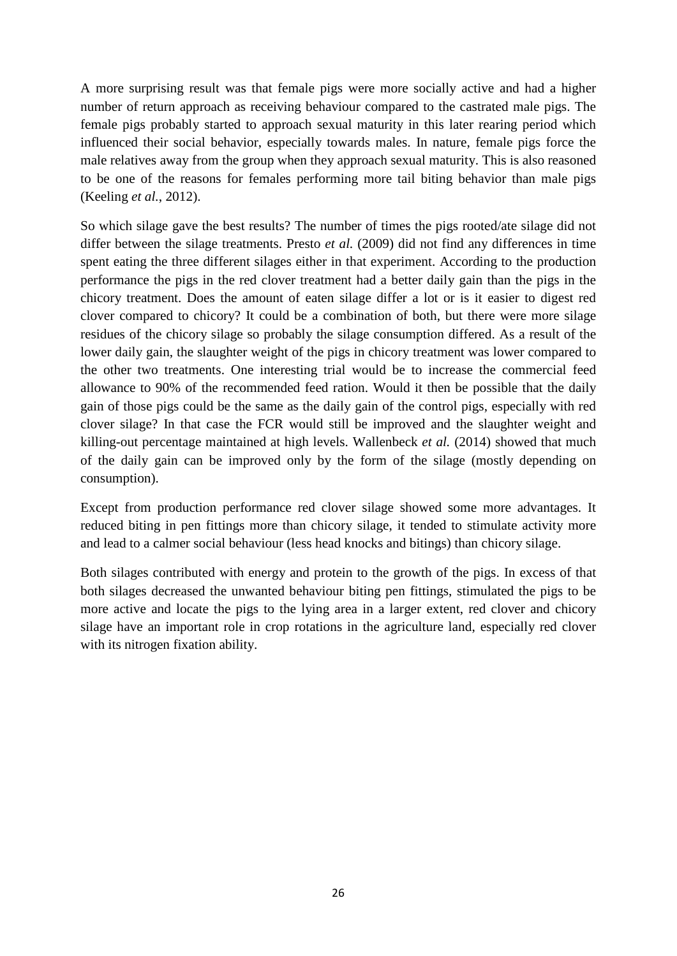A more surprising result was that female pigs were more socially active and had a higher number of return approach as receiving behaviour compared to the castrated male pigs. The female pigs probably started to approach sexual maturity in this later rearing period which influenced their social behavior, especially towards males. In nature, female pigs force the male relatives away from the group when they approach sexual maturity. This is also reasoned to be one of the reasons for females performing more tail biting behavior than male pigs (Keeling *et al.*, 2012).

So which silage gave the best results? The number of times the pigs rooted/ate silage did not differ between the silage treatments. Presto *et al.* (2009) did not find any differences in time spent eating the three different silages either in that experiment. According to the production performance the pigs in the red clover treatment had a better daily gain than the pigs in the chicory treatment. Does the amount of eaten silage differ a lot or is it easier to digest red clover compared to chicory? It could be a combination of both, but there were more silage residues of the chicory silage so probably the silage consumption differed. As a result of the lower daily gain, the slaughter weight of the pigs in chicory treatment was lower compared to the other two treatments. One interesting trial would be to increase the commercial feed allowance to 90% of the recommended feed ration. Would it then be possible that the daily gain of those pigs could be the same as the daily gain of the control pigs, especially with red clover silage? In that case the FCR would still be improved and the slaughter weight and killing-out percentage maintained at high levels. Wallenbeck *et al.* (2014) showed that much of the daily gain can be improved only by the form of the silage (mostly depending on consumption).

Except from production performance red clover silage showed some more advantages. It reduced biting in pen fittings more than chicory silage, it tended to stimulate activity more and lead to a calmer social behaviour (less head knocks and bitings) than chicory silage.

Both silages contributed with energy and protein to the growth of the pigs. In excess of that both silages decreased the unwanted behaviour biting pen fittings, stimulated the pigs to be more active and locate the pigs to the lying area in a larger extent, red clover and chicory silage have an important role in crop rotations in the agriculture land, especially red clover with its nitrogen fixation ability.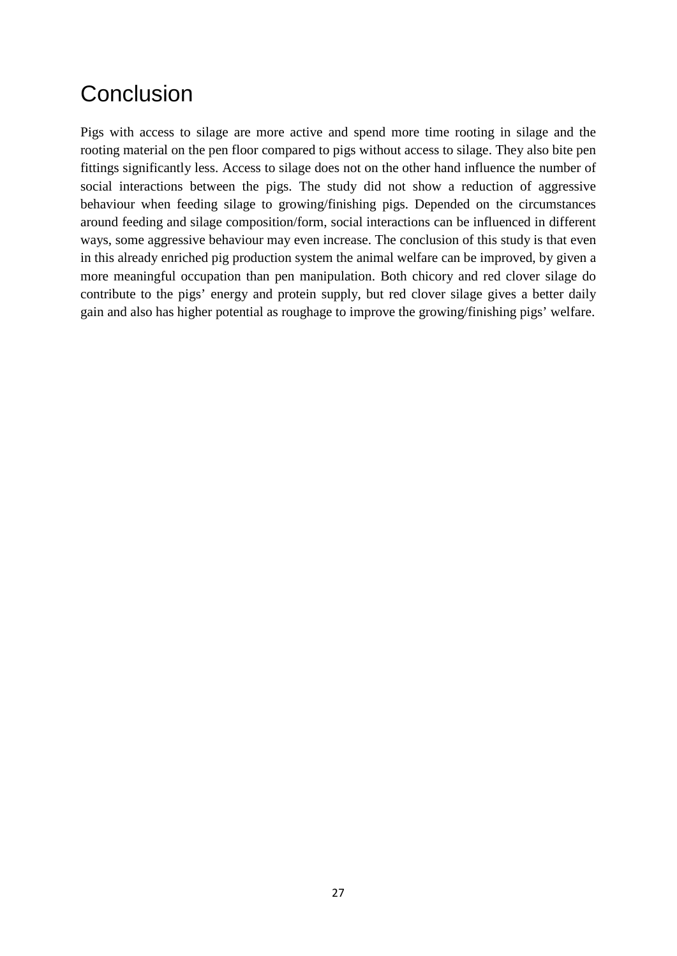# <span id="page-32-0"></span>**Conclusion**

Pigs with access to silage are more active and spend more time rooting in silage and the rooting material on the pen floor compared to pigs without access to silage. They also bite pen fittings significantly less. Access to silage does not on the other hand influence the number of social interactions between the pigs. The study did not show a reduction of aggressive behaviour when feeding silage to growing/finishing pigs. Depended on the circumstances around feeding and silage composition/form, social interactions can be influenced in different ways, some aggressive behaviour may even increase. The conclusion of this study is that even in this already enriched pig production system the animal welfare can be improved, by given a more meaningful occupation than pen manipulation. Both chicory and red clover silage do contribute to the pigs' energy and protein supply, but red clover silage gives a better daily gain and also has higher potential as roughage to improve the growing/finishing pigs' welfare.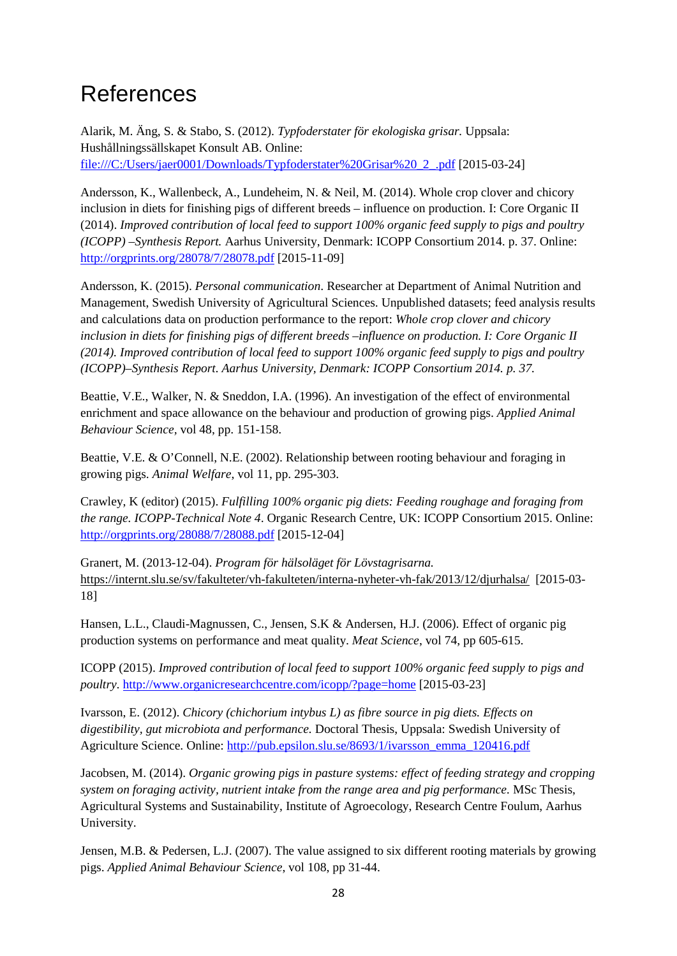## <span id="page-33-0"></span>References

Alarik, M. Äng, S. & Stabo, S. (2012). *Typfoderstater för ekologiska grisar.* Uppsala: Hushållningssällskapet Konsult AB. Online: file:///C:/Users/jaer0001/Downloads/Typfoderstater%20Grisar%20\_2\_.pdf [2015-03-24]

Andersson, K., Wallenbeck, A., Lundeheim, N. & Neil, M. (2014). Whole crop clover and chicory inclusion in diets for finishing pigs of different breeds – influence on production. I: Core Organic II (2014). *Improved contribution of local feed to support 100% organic feed supply to pigs and poultry (ICOPP) –Synthesis Report.* Aarhus University, Denmark: ICOPP Consortium 2014. p. 37. Online: <http://orgprints.org/28078/7/28078.pdf> [2015-11-09]

Andersson, K. (2015). *Personal communication*. Researcher at Department of Animal Nutrition and Management, Swedish University of Agricultural Sciences. Unpublished datasets; feed analysis results and calculations data on production performance to the report: *Whole crop clover and chicory inclusion in diets for finishing pigs of different breeds –influence on production. I: Core Organic II (2014). Improved contribution of local feed to support 100% organic feed supply to pigs and poultry (ICOPP)–Synthesis Report. Aarhus University, Denmark: ICOPP Consortium 2014. p. 37.*

Beattie, V.E., Walker, N. & Sneddon, I.A. (1996). An investigation of the effect of environmental enrichment and space allowance on the behaviour and production of growing pigs. *Applied Animal Behaviour Science,* vol 48, pp. 151-158.

Beattie, V.E. & O'Connell, N.E. (2002). Relationship between rooting behaviour and foraging in growing pigs. *Animal Welfare*, vol 11, pp. 295-303.

Crawley, K (editor) (2015). *Fulfilling 100% organic pig diets: Feeding roughage and foraging from the range. ICOPP-Technical Note 4*. Organic Research Centre, UK: ICOPP Consortium 2015. Online: <http://orgprints.org/28088/7/28088.pdf> [2015-12-04]

Granert, M. (2013-12-04). *Program för hälsoläget för Lövstagrisarna.*  <https://internt.slu.se/sv/fakulteter/vh-fakulteten/interna-nyheter-vh-fak/2013/12/djurhalsa/>[2015-03- 18]

Hansen, L.L., Claudi-Magnussen, C., Jensen, S.K & Andersen, H.J. (2006). Effect of organic pig production systems on performance and meat quality. *Meat Science*, vol 74, pp 605-615.

ICOPP (2015). *Improved contribution of local feed to support 100% organic feed supply to pigs and poultry.* <http://www.organicresearchcentre.com/icopp/?page=home> [2015-03-23]

Ivarsson, E. (2012). *Chicory (chichorium intybus L) as fibre source in pig diets. Effects on digestibility, gut microbiota and performance.* Doctoral Thesis, Uppsala: Swedish University of Agriculture Science. Online: [http://pub.epsilon.slu.se/8693/1/ivarsson\\_emma\\_120416.pdf](http://pub.epsilon.slu.se/8693/1/ivarsson_emma_120416.pdf)

Jacobsen, M. (2014). *Organic growing pigs in pasture systems: effect of feeding strategy and cropping system on foraging activity, nutrient intake from the range area and pig performance.* MSc Thesis, Agricultural Systems and Sustainability, Institute of Agroecology, Research Centre Foulum, Aarhus University.

Jensen, M.B. & Pedersen, L.J. (2007). The value assigned to six different rooting materials by growing pigs. *Applied Animal Behaviour Science*, vol 108, pp 31-44.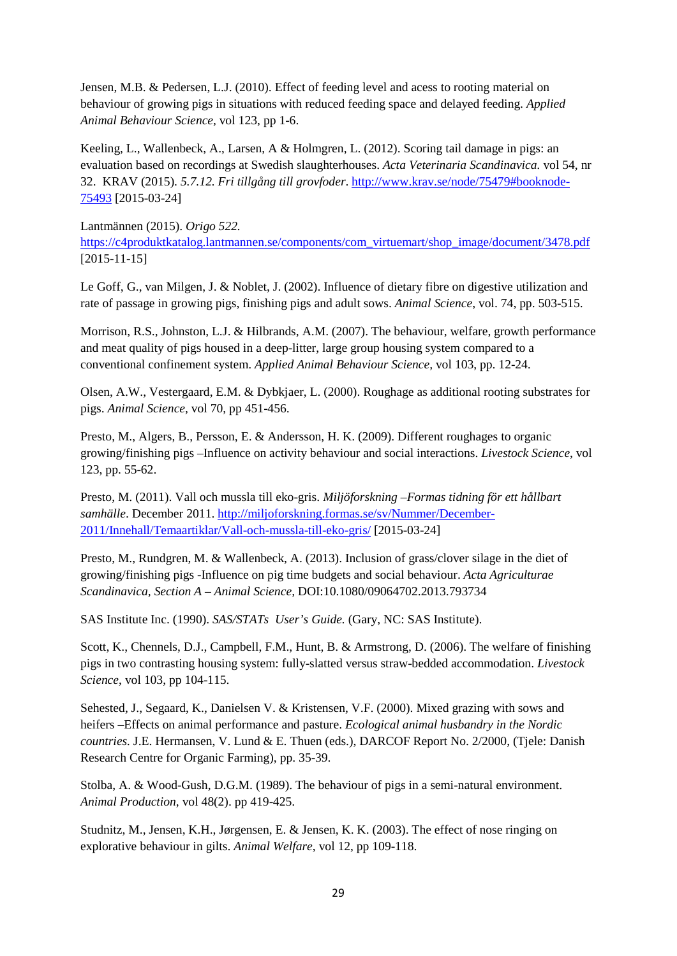Jensen, M.B. & Pedersen, L.J. (2010). Effect of feeding level and acess to rooting material on behaviour of growing pigs in situations with reduced feeding space and delayed feeding. *Applied Animal Behaviour Science,* vol 123, pp 1-6.

Keeling, L., Wallenbeck, A., Larsen, A & Holmgren, L. (2012). Scoring tail damage in pigs: an evaluation based on recordings at Swedish slaughterhouses. *Acta Veterinaria Scandinavica.* vol 54, nr 32. KRAV (2015). *5.7.12. Fri tillgång till grovfoder*. [http://www.krav.se/node/75479#booknode-](http://www.krav.se/node/75479%23booknode-75493)[75493](http://www.krav.se/node/75479%23booknode-75493) [2015-03-24]

Lantmännen (2015). *Origo 522.* [https://c4produktkatalog.lantmannen.se/components/com\\_virtuemart/shop\\_image/document/3478.pdf](https://c4produktkatalog.lantmannen.se/components/com_virtuemart/shop_image/document/3478.pdf) [2015-11-15]

Le Goff, G., van Milgen, J. & Noblet, J. (2002). Influence of dietary fibre on digestive utilization and rate of passage in growing pigs, finishing pigs and adult sows. *Animal Science*, vol. 74, pp. 503-515.

Morrison, R.S., Johnston, L.J. & Hilbrands, A.M. (2007). The behaviour, welfare, growth performance and meat quality of pigs housed in a deep-litter, large group housing system compared to a conventional confinement system. *Applied Animal Behaviour Science,* vol 103, pp. 12-24.

Olsen, A.W., Vestergaard, E.M. & Dybkjaer, L. (2000). Roughage as additional rooting substrates for pigs. *Animal Science,* vol 70, pp 451-456.

Presto, M., Algers, B., Persson, E. & Andersson, H. K. (2009). Different roughages to organic growing/finishing pigs –Influence on activity behaviour and social interactions. *Livestock Science*, vol 123, pp. 55-62.

Presto, M. (2011). Vall och mussla till eko-gris. *Miljöforskning –Formas tidning för ett hållbart samhälle*. December 2011. [http://miljoforskning.formas.se/sv/Nummer/December-](http://miljoforskning.formas.se/sv/Nummer/December-2011/Innehall/Temaartiklar/Vall-och-mussla-till-eko-gris/)[2011/Innehall/Temaartiklar/Vall-och-mussla-till-eko-gris/](http://miljoforskning.formas.se/sv/Nummer/December-2011/Innehall/Temaartiklar/Vall-och-mussla-till-eko-gris/) [2015-03-24]

Presto, M., Rundgren, M. & Wallenbeck, A. (2013). Inclusion of grass/clover silage in the diet of growing/finishing pigs -Influence on pig time budgets and social behaviour. *Acta Agriculturae Scandinavica, Section A – Animal Science,* DOI:10.1080/09064702.2013.793734

SAS Institute Inc. (1990). *SAS/STATs User's Guide.* (Gary, NC: SAS Institute).

Scott, K., Chennels, D.J., Campbell, F.M., Hunt, B. & Armstrong, D. (2006). The welfare of finishing pigs in two contrasting housing system: fully-slatted versus straw-bedded accommodation. *Livestock Science*, vol 103, pp 104-115.

Sehested, J., Segaard, K., Danielsen V. & Kristensen, V.F. (2000). Mixed grazing with sows and heifers –Effects on animal performance and pasture. *Ecological animal husbandry in the Nordic countries.* J.E. Hermansen, V. Lund & E. Thuen (eds.), DARCOF Report No. 2/2000, (Tjele: Danish Research Centre for Organic Farming), pp. 35-39.

Stolba, A. & Wood-Gush, D.G.M. (1989). The behaviour of pigs in a semi-natural environment. *Animal Production*, vol 48(2). pp 419-425.

Studnitz, M., Jensen, K.H., Jørgensen, E. & Jensen, K. K. (2003). The effect of nose ringing on explorative behaviour in gilts. *Animal Welfare*, vol 12, pp 109-118.